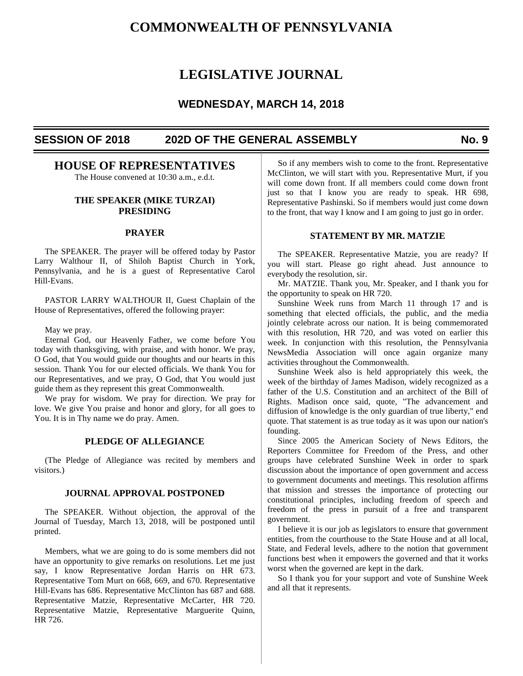# **COMMONWEALTH OF PENNSYLVANIA**

# **LEGISLATIVE JOURNAL**

# **WEDNESDAY, MARCH 14, 2018**

# **SESSION OF 2018 202D OF THE GENERAL ASSEMBLY No. 9**

# **HOUSE OF REPRESENTATIVES**

The House convened at 10:30 a.m., e.d.t.

# **THE SPEAKER (MIKE TURZAI) PRESIDING**

# **PRAYER**

 The SPEAKER. The prayer will be offered today by Pastor Larry Walthour II, of Shiloh Baptist Church in York, Pennsylvania, and he is a guest of Representative Carol Hill-Evans.

 PASTOR LARRY WALTHOUR II, Guest Chaplain of the House of Representatives, offered the following prayer:

May we pray.

 Eternal God, our Heavenly Father, we come before You today with thanksgiving, with praise, and with honor. We pray, O God, that You would guide our thoughts and our hearts in this session. Thank You for our elected officials. We thank You for our Representatives, and we pray, O God, that You would just guide them as they represent this great Commonwealth.

 We pray for wisdom. We pray for direction. We pray for love. We give You praise and honor and glory, for all goes to You. It is in Thy name we do pray. Amen.

# **PLEDGE OF ALLEGIANCE**

 (The Pledge of Allegiance was recited by members and visitors.)

# **JOURNAL APPROVAL POSTPONED**

 The SPEAKER. Without objection, the approval of the Journal of Tuesday, March 13, 2018, will be postponed until printed.

 Members, what we are going to do is some members did not have an opportunity to give remarks on resolutions. Let me just say, I know Representative Jordan Harris on HR 673. Representative Tom Murt on 668, 669, and 670. Representative Hill-Evans has 686. Representative McClinton has 687 and 688. Representative Matzie, Representative McCarter, HR 720. Representative Matzie, Representative Marguerite Quinn, HR 726.

 So if any members wish to come to the front. Representative McClinton, we will start with you. Representative Murt, if you will come down front. If all members could come down front just so that I know you are ready to speak. HR 698, Representative Pashinski. So if members would just come down to the front, that way I know and I am going to just go in order.

# **STATEMENT BY MR. MATZIE**

 The SPEAKER. Representative Matzie, you are ready? If you will start. Please go right ahead. Just announce to everybody the resolution, sir.

 Mr. MATZIE. Thank you, Mr. Speaker, and I thank you for the opportunity to speak on HR 720.

 Sunshine Week runs from March 11 through 17 and is something that elected officials, the public, and the media jointly celebrate across our nation. It is being commemorated with this resolution, HR 720, and was voted on earlier this week. In conjunction with this resolution, the Pennsylvania NewsMedia Association will once again organize many activities throughout the Commonwealth.

 Sunshine Week also is held appropriately this week, the week of the birthday of James Madison, widely recognized as a father of the U.S. Constitution and an architect of the Bill of Rights. Madison once said, quote, "The advancement and diffusion of knowledge is the only guardian of true liberty," end quote. That statement is as true today as it was upon our nation's founding.

 Since 2005 the American Society of News Editors, the Reporters Committee for Freedom of the Press, and other groups have celebrated Sunshine Week in order to spark discussion about the importance of open government and access to government documents and meetings. This resolution affirms that mission and stresses the importance of protecting our constitutional principles, including freedom of speech and freedom of the press in pursuit of a free and transparent government.

 I believe it is our job as legislators to ensure that government entities, from the courthouse to the State House and at all local, State, and Federal levels, adhere to the notion that government functions best when it empowers the governed and that it works worst when the governed are kept in the dark.

 So I thank you for your support and vote of Sunshine Week and all that it represents.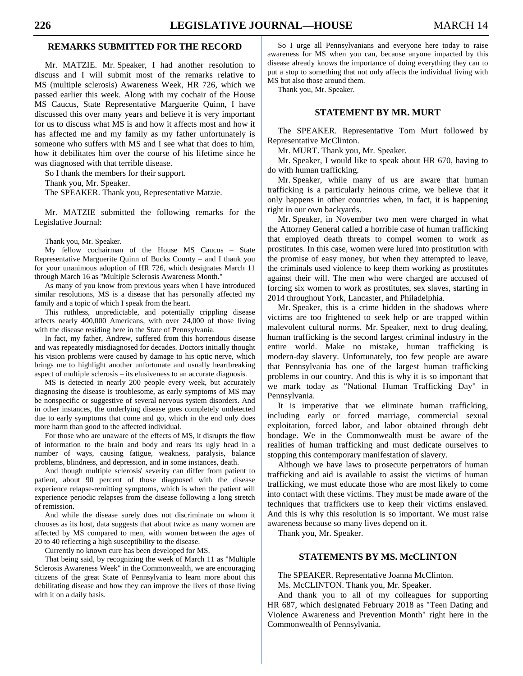# **REMARKS SUBMITTED FOR THE RECORD**

 Mr. MATZIE. Mr. Speaker, I had another resolution to discuss and I will submit most of the remarks relative to MS (multiple sclerosis) Awareness Week, HR 726, which we passed earlier this week. Along with my cochair of the House MS Caucus, State Representative Marguerite Quinn, I have discussed this over many years and believe it is very important for us to discuss what MS is and how it affects most and how it has affected me and my family as my father unfortunately is someone who suffers with MS and I see what that does to him, how it debilitates him over the course of his lifetime since he was diagnosed with that terrible disease.

So I thank the members for their support.

Thank you, Mr. Speaker.

The SPEAKER. Thank you, Representative Matzie.

 Mr. MATZIE submitted the following remarks for the Legislative Journal:

Thank you, Mr. Speaker.

 My fellow cochairman of the House MS Caucus – State Representative Marguerite Quinn of Bucks County – and I thank you for your unanimous adoption of HR 726, which designates March 11 through March 16 as "Multiple Sclerosis Awareness Month."

 As many of you know from previous years when I have introduced similar resolutions, MS is a disease that has personally affected my family and a topic of which I speak from the heart.

 This ruthless, unpredictable, and potentially crippling disease affects nearly 400,000 Americans, with over 24,000 of those living with the disease residing here in the State of Pennsylvania.

 In fact, my father, Andrew, suffered from this horrendous disease and was repeatedly misdiagnosed for decades. Doctors initially thought his vision problems were caused by damage to his optic nerve, which brings me to highlight another unfortunate and usually heartbreaking aspect of multiple sclerosis – its elusiveness to an accurate diagnosis.

 MS is detected in nearly 200 people every week, but accurately diagnosing the disease is troublesome, as early symptoms of MS may be nonspecific or suggestive of several nervous system disorders. And in other instances, the underlying disease goes completely undetected due to early symptoms that come and go, which in the end only does more harm than good to the affected individual.

 For those who are unaware of the effects of MS, it disrupts the flow of information to the brain and body and rears its ugly head in a number of ways, causing fatigue, weakness, paralysis, balance problems, blindness, and depression, and in some instances, death.

 And though multiple sclerosis' severity can differ from patient to patient, about 90 percent of those diagnosed with the disease experience relapse-remitting symptoms, which is when the patient will experience periodic relapses from the disease following a long stretch of remission.

 And while the disease surely does not discriminate on whom it chooses as its host, data suggests that about twice as many women are affected by MS compared to men, with women between the ages of 20 to 40 reflecting a high susceptibility to the disease.

Currently no known cure has been developed for MS.

 That being said, by recognizing the week of March 11 as "Multiple Sclerosis Awareness Week" in the Commonwealth, we are encouraging citizens of the great State of Pennsylvania to learn more about this debilitating disease and how they can improve the lives of those living with it on a daily basis.

 So I urge all Pennsylvanians and everyone here today to raise awareness for MS when you can, because anyone impacted by this disease already knows the importance of doing everything they can to put a stop to something that not only affects the individual living with MS but also those around them.

Thank you, Mr. Speaker.

# **STATEMENT BY MR. MURT**

 The SPEAKER. Representative Tom Murt followed by Representative McClinton.

Mr. MURT. Thank you, Mr. Speaker.

 Mr. Speaker, I would like to speak about HR 670, having to do with human trafficking.

 Mr. Speaker, while many of us are aware that human trafficking is a particularly heinous crime, we believe that it only happens in other countries when, in fact, it is happening right in our own backyards.

 Mr. Speaker, in November two men were charged in what the Attorney General called a horrible case of human trafficking that employed death threats to compel women to work as prostitutes. In this case, women were lured into prostitution with the promise of easy money, but when they attempted to leave, the criminals used violence to keep them working as prostitutes against their will. The men who were charged are accused of forcing six women to work as prostitutes, sex slaves, starting in 2014 throughout York, Lancaster, and Philadelphia.

 Mr. Speaker, this is a crime hidden in the shadows where victims are too frightened to seek help or are trapped within malevolent cultural norms. Mr. Speaker, next to drug dealing, human trafficking is the second largest criminal industry in the entire world. Make no mistake, human trafficking is modern-day slavery. Unfortunately, too few people are aware that Pennsylvania has one of the largest human trafficking problems in our country. And this is why it is so important that we mark today as "National Human Trafficking Day" in Pennsylvania.

 It is imperative that we eliminate human trafficking, including early or forced marriage, commercial sexual exploitation, forced labor, and labor obtained through debt bondage. We in the Commonwealth must be aware of the realities of human trafficking and must dedicate ourselves to stopping this contemporary manifestation of slavery.

 Although we have laws to prosecute perpetrators of human trafficking and aid is available to assist the victims of human trafficking, we must educate those who are most likely to come into contact with these victims. They must be made aware of the techniques that traffickers use to keep their victims enslaved. And this is why this resolution is so important. We must raise awareness because so many lives depend on it.

Thank you, Mr. Speaker.

## **STATEMENTS BY MS. McCLINTON**

 The SPEAKER. Representative Joanna McClinton. Ms. McCLINTON. Thank you, Mr. Speaker.

 And thank you to all of my colleagues for supporting HR 687, which designated February 2018 as "Teen Dating and Violence Awareness and Prevention Month" right here in the Commonwealth of Pennsylvania.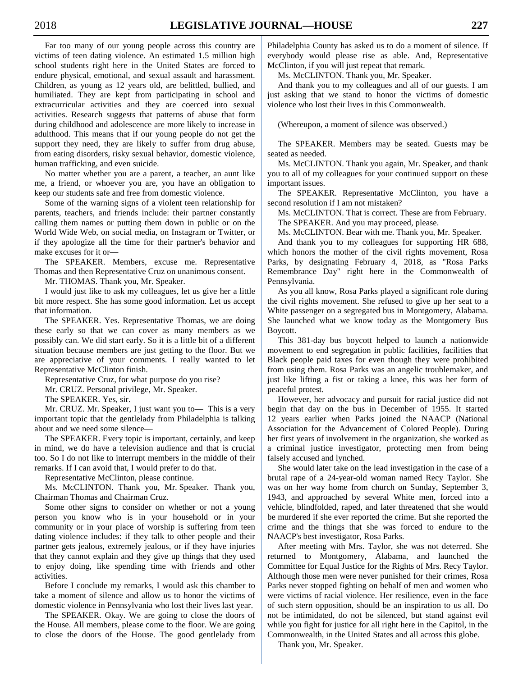Far too many of our young people across this country are victims of teen dating violence. An estimated 1.5 million high school students right here in the United States are forced to endure physical, emotional, and sexual assault and harassment. Children, as young as 12 years old, are belittled, bullied, and humiliated. They are kept from participating in school and extracurricular activities and they are coerced into sexual activities. Research suggests that patterns of abuse that form during childhood and adolescence are more likely to increase in adulthood. This means that if our young people do not get the support they need, they are likely to suffer from drug abuse, from eating disorders, risky sexual behavior, domestic violence, human trafficking, and even suicide.

 No matter whether you are a parent, a teacher, an aunt like me, a friend, or whoever you are, you have an obligation to keep our students safe and free from domestic violence.

 Some of the warning signs of a violent teen relationship for parents, teachers, and friends include: their partner constantly calling them names or putting them down in public or on the World Wide Web, on social media, on Instagram or Twitter, or if they apologize all the time for their partner's behavior and make excuses for it or—

 The SPEAKER. Members, excuse me. Representative Thomas and then Representative Cruz on unanimous consent.

Mr. THOMAS. Thank you, Mr. Speaker.

 I would just like to ask my colleagues, let us give her a little bit more respect. She has some good information. Let us accept that information.

 The SPEAKER. Yes. Representative Thomas, we are doing these early so that we can cover as many members as we possibly can. We did start early. So it is a little bit of a different situation because members are just getting to the floor. But we are appreciative of your comments. I really wanted to let Representative McClinton finish.

Representative Cruz, for what purpose do you rise?

Mr. CRUZ. Personal privilege, Mr. Speaker.

The SPEAKER. Yes, sir.

 Mr. CRUZ. Mr. Speaker, I just want you to— This is a very important topic that the gentlelady from Philadelphia is talking about and we need some silence—

 The SPEAKER. Every topic is important, certainly, and keep in mind, we do have a television audience and that is crucial too. So I do not like to interrupt members in the middle of their remarks. If I can avoid that, I would prefer to do that.

Representative McClinton, please continue.

 Ms. McCLINTON. Thank you, Mr. Speaker. Thank you, Chairman Thomas and Chairman Cruz.

 Some other signs to consider on whether or not a young person you know who is in your household or in your community or in your place of worship is suffering from teen dating violence includes: if they talk to other people and their partner gets jealous, extremely jealous, or if they have injuries that they cannot explain and they give up things that they used to enjoy doing, like spending time with friends and other activities.

 Before I conclude my remarks, I would ask this chamber to take a moment of silence and allow us to honor the victims of domestic violence in Pennsylvania who lost their lives last year.

 The SPEAKER. Okay. We are going to close the doors of the House. All members, please come to the floor. We are going to close the doors of the House. The good gentlelady from Philadelphia County has asked us to do a moment of silence. If everybody would please rise as able. And, Representative McClinton, if you will just repeat that remark.

Ms. McCLINTON. Thank you, Mr. Speaker.

 And thank you to my colleagues and all of our guests. I am just asking that we stand to honor the victims of domestic violence who lost their lives in this Commonwealth.

(Whereupon, a moment of silence was observed.)

 The SPEAKER. Members may be seated. Guests may be seated as needed.

 Ms. McCLINTON. Thank you again, Mr. Speaker, and thank you to all of my colleagues for your continued support on these important issues.

 The SPEAKER. Representative McClinton, you have a second resolution if I am not mistaken?

 Ms. McCLINTON. That is correct. These are from February. The SPEAKER. And you may proceed, please.

Ms. McCLINTON. Bear with me. Thank you, Mr. Speaker.

 And thank you to my colleagues for supporting HR 688, which honors the mother of the civil rights movement, Rosa Parks, by designating February 4, 2018, as "Rosa Parks Remembrance Day" right here in the Commonwealth of Pennsylvania.

 As you all know, Rosa Parks played a significant role during the civil rights movement. She refused to give up her seat to a White passenger on a segregated bus in Montgomery, Alabama. She launched what we know today as the Montgomery Bus Boycott.

 This 381-day bus boycott helped to launch a nationwide movement to end segregation in public facilities, facilities that Black people paid taxes for even though they were prohibited from using them. Rosa Parks was an angelic troublemaker, and just like lifting a fist or taking a knee, this was her form of peaceful protest.

 However, her advocacy and pursuit for racial justice did not begin that day on the bus in December of 1955. It started 12 years earlier when Parks joined the NAACP (National Association for the Advancement of Colored People). During her first years of involvement in the organization, she worked as a criminal justice investigator, protecting men from being falsely accused and lynched.

 She would later take on the lead investigation in the case of a brutal rape of a 24-year-old woman named Recy Taylor. She was on her way home from church on Sunday, September 3, 1943, and approached by several White men, forced into a vehicle, blindfolded, raped, and later threatened that she would be murdered if she ever reported the crime. But she reported the crime and the things that she was forced to endure to the NAACP's best investigator, Rosa Parks.

 After meeting with Mrs. Taylor, she was not deterred. She returned to Montgomery, Alabama, and launched the Committee for Equal Justice for the Rights of Mrs. Recy Taylor. Although those men were never punished for their crimes, Rosa Parks never stopped fighting on behalf of men and women who were victims of racial violence. Her resilience, even in the face of such stern opposition, should be an inspiration to us all. Do not be intimidated, do not be silenced, but stand against evil while you fight for justice for all right here in the Capitol, in the Commonwealth, in the United States and all across this globe.

Thank you, Mr. Speaker.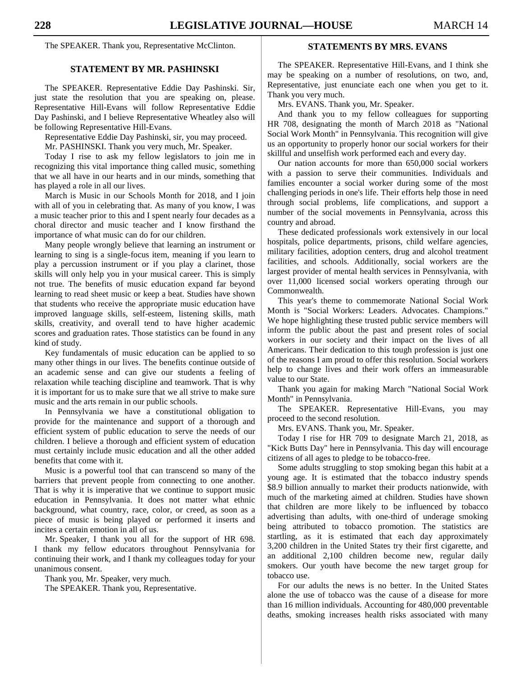The SPEAKER. Thank you, Representative McClinton.

# **STATEMENT BY MR. PASHINSKI**

 The SPEAKER. Representative Eddie Day Pashinski. Sir, just state the resolution that you are speaking on, please. Representative Hill-Evans will follow Representative Eddie Day Pashinski, and I believe Representative Wheatley also will be following Representative Hill-Evans.

Representative Eddie Day Pashinski, sir, you may proceed.

Mr. PASHINSKI. Thank you very much, Mr. Speaker.

 Today I rise to ask my fellow legislators to join me in recognizing this vital importance thing called music, something that we all have in our hearts and in our minds, something that has played a role in all our lives.

 March is Music in our Schools Month for 2018, and I join with all of you in celebrating that. As many of you know, I was a music teacher prior to this and I spent nearly four decades as a choral director and music teacher and I know firsthand the importance of what music can do for our children.

 Many people wrongly believe that learning an instrument or learning to sing is a single-focus item, meaning if you learn to play a percussion instrument or if you play a clarinet, those skills will only help you in your musical career. This is simply not true. The benefits of music education expand far beyond learning to read sheet music or keep a beat. Studies have shown that students who receive the appropriate music education have improved language skills, self-esteem, listening skills, math skills, creativity, and overall tend to have higher academic scores and graduation rates. Those statistics can be found in any kind of study.

 Key fundamentals of music education can be applied to so many other things in our lives. The benefits continue outside of an academic sense and can give our students a feeling of relaxation while teaching discipline and teamwork. That is why it is important for us to make sure that we all strive to make sure music and the arts remain in our public schools.

 In Pennsylvania we have a constitutional obligation to provide for the maintenance and support of a thorough and efficient system of public education to serve the needs of our children. I believe a thorough and efficient system of education must certainly include music education and all the other added benefits that come with it.

 Music is a powerful tool that can transcend so many of the barriers that prevent people from connecting to one another. That is why it is imperative that we continue to support music education in Pennsylvania. It does not matter what ethnic background, what country, race, color, or creed, as soon as a piece of music is being played or performed it inserts and incites a certain emotion in all of us.

 Mr. Speaker, I thank you all for the support of HR 698. I thank my fellow educators throughout Pennsylvania for continuing their work, and I thank my colleagues today for your unanimous consent.

Thank you, Mr. Speaker, very much.

The SPEAKER. Thank you, Representative.

# **STATEMENTS BY MRS. EVANS**

 The SPEAKER. Representative Hill-Evans, and I think she may be speaking on a number of resolutions, on two, and, Representative, just enunciate each one when you get to it. Thank you very much.

Mrs. EVANS. Thank you, Mr. Speaker.

 And thank you to my fellow colleagues for supporting HR 708, designating the month of March 2018 as "National Social Work Month" in Pennsylvania. This recognition will give us an opportunity to properly honor our social workers for their skillful and unselfish work performed each and every day.

 Our nation accounts for more than 650,000 social workers with a passion to serve their communities. Individuals and families encounter a social worker during some of the most challenging periods in one's life. Their efforts help those in need through social problems, life complications, and support a number of the social movements in Pennsylvania, across this country and abroad.

 These dedicated professionals work extensively in our local hospitals, police departments, prisons, child welfare agencies, military facilities, adoption centers, drug and alcohol treatment facilities, and schools. Additionally, social workers are the largest provider of mental health services in Pennsylvania, with over 11,000 licensed social workers operating through our Commonwealth.

 This year's theme to commemorate National Social Work Month is "Social Workers: Leaders. Advocates. Champions." We hope highlighting these trusted public service members will inform the public about the past and present roles of social workers in our society and their impact on the lives of all Americans. Their dedication to this tough profession is just one of the reasons I am proud to offer this resolution. Social workers help to change lives and their work offers an immeasurable value to our State.

 Thank you again for making March "National Social Work Month" in Pennsylvania.

 The SPEAKER. Representative Hill-Evans, you may proceed to the second resolution.

Mrs. EVANS. Thank you, Mr. Speaker.

 Today I rise for HR 709 to designate March 21, 2018, as "Kick Butts Day" here in Pennsylvania. This day will encourage citizens of all ages to pledge to be tobacco-free.

 Some adults struggling to stop smoking began this habit at a young age. It is estimated that the tobacco industry spends \$8.9 billion annually to market their products nationwide, with much of the marketing aimed at children. Studies have shown that children are more likely to be influenced by tobacco advertising than adults, with one-third of underage smoking being attributed to tobacco promotion. The statistics are startling, as it is estimated that each day approximately 3,200 children in the United States try their first cigarette, and an additional 2,100 children become new, regular daily smokers. Our youth have become the new target group for tobacco use.

 For our adults the news is no better. In the United States alone the use of tobacco was the cause of a disease for more than 16 million individuals. Accounting for 480,000 preventable deaths, smoking increases health risks associated with many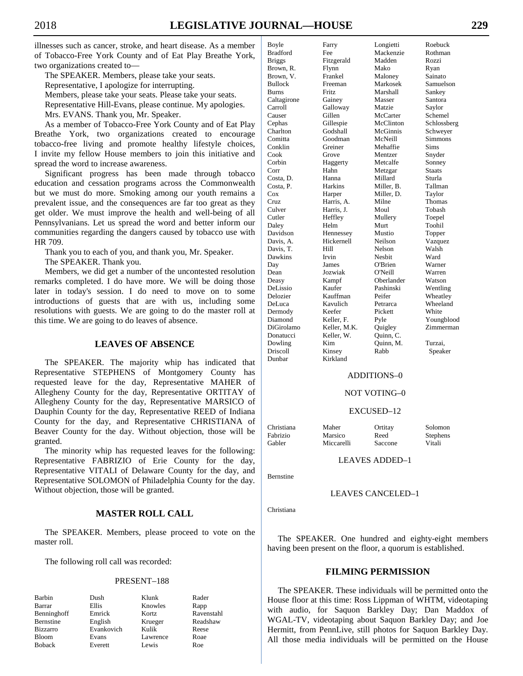illnesses such as cancer, stroke, and heart disease. As a member of Tobacco-Free York County and of Eat Play Breathe York, two organizations created to—

 The SPEAKER. Members, please take your seats. Representative, I apologize for interrupting. Members, please take your seats. Please take your seats. Representative Hill-Evans, please continue. My apologies. Mrs. EVANS. Thank you, Mr. Speaker.

 As a member of Tobacco-Free York County and of Eat Play Breathe York, two organizations created to encourage tobacco-free living and promote healthy lifestyle choices, I invite my fellow House members to join this initiative and spread the word to increase awareness.

 Significant progress has been made through tobacco education and cessation programs across the Commonwealth but we must do more. Smoking among our youth remains a prevalent issue, and the consequences are far too great as they get older. We must improve the health and well-being of all Pennsylvanians. Let us spread the word and better inform our communities regarding the dangers caused by tobacco use with HR 709.

Thank you to each of you, and thank you, Mr. Speaker.

The SPEAKER. Thank you.

 Members, we did get a number of the uncontested resolution remarks completed. I do have more. We will be doing those later in today's session. I do need to move on to some introductions of guests that are with us, including some resolutions with guests. We are going to do the master roll at this time. We are going to do leaves of absence.

# **LEAVES OF ABSENCE**

 The SPEAKER. The majority whip has indicated that Representative STEPHENS of Montgomery County has requested leave for the day, Representative MAHER of Allegheny County for the day, Representative ORTITAY of Allegheny County for the day, Representative MARSICO of Dauphin County for the day, Representative REED of Indiana County for the day, and Representative CHRISTIANA of Beaver County for the day. Without objection, those will be granted.

 The minority whip has requested leaves for the following: Representative FABRIZIO of Erie County for the day, Representative VITALI of Delaware County for the day, and Representative SOLOMON of Philadelphia County for the day. Without objection, those will be granted.

# **MASTER ROLL CALL**

 The SPEAKER. Members, please proceed to vote on the master roll.

The following roll call was recorded:

## PRESENT–188

| Barbin          | Dush       | Klunk    | Rader      |
|-----------------|------------|----------|------------|
| Barrar          | Ellis      | Knowles  | Rapp       |
| Benninghoff     | Emrick     | Kortz    | Ravenstahl |
| Bernstine       | English    | Krueger  | Readshaw   |
| <b>Bizzarro</b> | Evankovich | Kulik    | Reese      |
| <b>Bloom</b>    | Evans      | Lawrence | Roae       |
| <b>Boback</b>   | Everett    | Lewis    | Roe        |

| Boyle           | Farry          | Longietti  | Roebuck       |
|-----------------|----------------|------------|---------------|
| <b>Bradford</b> | Fee            | Mackenzie  | Rothman       |
| <b>Briggs</b>   | Fitzgerald     | Madden     | Rozzi         |
| Brown, R.       | Flynn          | Mako       | Ryan          |
| Brown, V.       | Frankel        | Maloney    | Sainato       |
| Bullock         | Freeman        | Markosek   | Samuelson     |
| Burns           | Fritz          | Marshall   | Sankey        |
| Caltagirone     | Gainey         | Masser     | Santora       |
| Carroll         | Galloway       | Matzie     | Saylor        |
| Causer          | Gillen         | McCarter   | Schemel       |
| Cephas          | Gillespie      | McClinton  | Schlossberg   |
| Charlton        | Godshall       | McGinnis   | Schweyer      |
| Comitta         | Goodman        | McNeill    | Simmons       |
| Conklin         | Greiner        | Mehaffie   | Sims          |
| Cook            | Grove          | Mentzer    | Snyder        |
| Corbin          | Haggerty       | Metcalfe   | Sonney        |
| Corr            | Hahn           | Metzgar    | <b>Staats</b> |
| Costa, D.       | Hanna          | Millard    | Sturla        |
| Costa, P.       | <b>Harkins</b> | Miller. B. | Tallman       |
| Cox             | Harper         | Miller, D. | Taylor        |
| Cruz            | Harris, A.     | Milne      | Thomas        |
| Culver          | Harris. J.     | Moul       | Tobash        |
| Cutler          | Heffley        | Mullery    | Toepel        |
| Daley           | Helm           | Murt       | Toohil        |
| Davidson        | Hennessey      | Mustio     | Topper        |
| Davis, A.       | Hickernell     | Neilson    | Vazquez       |
| Davis, T.       | Hill           | Nelson     | Walsh         |
| Dawkins         | Irvin          | Nesbit     | Ward          |
| Day             | James          | O'Brien    | Warner        |
| Dean            | Jozwiak        | O'Neill    | Warren        |
| Deasy           | Kampf          | Oberlander | Watson        |
| DeLissio        | Kaufer         | Pashinski  | Wentling      |
| Delozier        | Kauffman       | Peifer     | Wheatley      |
| DeLuca          | Kavulich       | Petrarca   | Wheeland      |
| Dermody         | Keefer         | Pickett    | White         |
| Diamond         | Keller, F.     | Pyle       | Youngblood    |
| DiGirolamo      | Keller, M.K.   | Quigley    | Zimmerman     |
| Donatucci       | Keller, W.     | Quinn, C.  |               |
| Dowling         | Kim            | Quinn, M.  | Turzai.       |
| Driscoll        | Kinsey         | Rabb       | Speaker       |
| Dunbar          | Kirkland       |            |               |

## ADDITIONS–0

## NOT VOTING–0

### EXCUSED–12

Christiana Maher Ortitay Solomon Fabrizio Marsico Reed Stephens Gabler Miccarelli Saccone Vitali

LEAVES ADDED–1

Bernstine

## LEAVES CANCELED–1

Christiana

 The SPEAKER. One hundred and eighty-eight members having been present on the floor, a quorum is established.

## **FILMING PERMISSION**

 The SPEAKER. These individuals will be permitted onto the House floor at this time: Ross Lippman of WHTM, videotaping with audio, for Saquon Barkley Day; Dan Maddox of WGAL-TV, videotaping about Saquon Barkley Day; and Joe Hermitt, from PennLive, still photos for Saquon Barkley Day. All those media individuals will be permitted on the House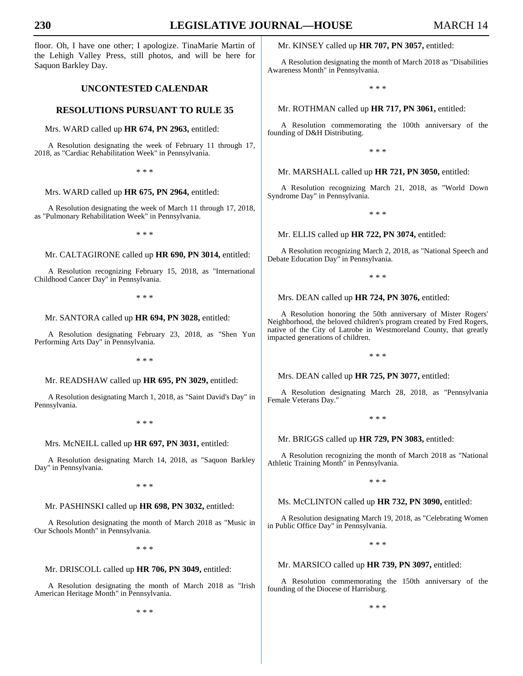floor. Oh, I have one other; I apologize. TinaMarie Martin of the Lehigh Valley Press, still photos, and will be here for Saquon Barkley Day.

# **UNCONTESTED CALENDAR**

## **RESOLUTIONS PURSUANT TO RULE 35**

Mrs. WARD called up **HR 674, PN 2963,** entitled:

A Resolution designating the week of February 11 through 17, 2018, as "Cardiac Rehabilitation Week" in Pennsylvania.

\* \* \*

## Mrs. WARD called up **HR 675, PN 2964,** entitled:

A Resolution designating the week of March 11 through 17, 2018, as "Pulmonary Rehabilitation Week" in Pennsylvania.

\* \* \*

## Mr. CALTAGIRONE called up **HR 690, PN 3014,** entitled:

A Resolution recognizing February 15, 2018, as "International Childhood Cancer Day" in Pennsylvania.

\* \* \*

#### Mr. SANTORA called up **HR 694, PN 3028,** entitled:

A Resolution designating February 23, 2018, as "Shen Yun Performing Arts Day" in Pennsylvania.

\* \* \*

## Mr. READSHAW called up **HR 695, PN 3029,** entitled:

A Resolution designating March 1, 2018, as "Saint David's Day" in Pennsylvania.

\* \* \*

### Mrs. McNEILL called up **HR 697, PN 3031,** entitled:

A Resolution designating March 14, 2018, as "Saquon Barkley Day" in Pennsylvania.

\* \* \*

## Mr. PASHINSKI called up **HR 698, PN 3032,** entitled:

A Resolution designating the month of March 2018 as "Music in Our Schools Month" in Pennsylvania.

\* \* \*

## Mr. DRISCOLL called up **HR 706, PN 3049,** entitled:

A Resolution designating the month of March 2018 as "Irish American Heritage Month" in Pennsylvania.

\* \* \*

## Mr. KINSEY called up **HR 707, PN 3057,** entitled:

A Resolution designating the month of March 2018 as "Disabilities Awareness Month" in Pennsylvania.

\* \* \*

## Mr. ROTHMAN called up **HR 717, PN 3061,** entitled:

A Resolution commemorating the 100th anniversary of the founding of D&H Distributing.

\* \* \*

# Mr. MARSHALL called up **HR 721, PN 3050,** entitled:

A Resolution recognizing March 21, 2018, as "World Down Syndrome Day" in Pennsylvania.

\* \* \*

## Mr. ELLIS called up **HR 722, PN 3074,** entitled:

A Resolution recognizing March 2, 2018, as "National Speech and Debate Education Day" in Pennsylvania.

\* \* \*

## Mrs. DEAN called up **HR 724, PN 3076,** entitled:

A Resolution honoring the 50th anniversary of Mister Rogers' Neighborhood, the beloved children's program created by Fred Rogers, native of the City of Latrobe in Westmoreland County, that greatly impacted generations of children.

\* \* \*

Mrs. DEAN called up **HR 725, PN 3077,** entitled:

A Resolution designating March 28, 2018, as "Pennsylvania Female Veterans Day."

\* \* \*

### Mr. BRIGGS called up **HR 729, PN 3083,** entitled:

A Resolution recognizing the month of March 2018 as "National Athletic Training Month" in Pennsylvania.

\* \* \*

### Ms. McCLINTON called up **HR 732, PN 3090,** entitled:

A Resolution designating March 19, 2018, as "Celebrating Women in Public Office Day" in Pennsylvania.

\* \* \*

#### Mr. MARSICO called up **HR 739, PN 3097,** entitled:

A Resolution commemorating the 150th anniversary of the founding of the Diocese of Harrisburg.

\* \* \*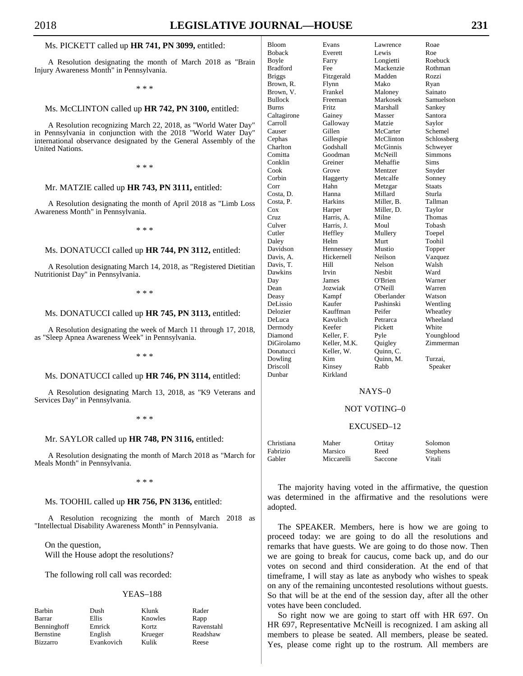## Ms. PICKETT called up **HR 741, PN 3099,** entitled:

A Resolution designating the month of March 2018 as "Brain Injury Awareness Month" in Pennsylvania.

\* \* \*

## Ms. McCLINTON called up **HR 742, PN 3100,** entitled:

A Resolution recognizing March 22, 2018, as "World Water Day" in Pennsylvania in conjunction with the 2018 "World Water Day" international observance designated by the General Assembly of the United Nations.

\* \* \*

## Mr. MATZIE called up **HR 743, PN 3111,** entitled:

A Resolution designating the month of April 2018 as "Limb Loss Awareness Month" in Pennsylvania.

\* \* \*

# Ms. DONATUCCI called up **HR 744, PN 3112,** entitled:

A Resolution designating March 14, 2018, as "Registered Dietitian Nutritionist Day" in Pennsylvania.

\* \* \*

## Ms. DONATUCCI called up **HR 745, PN 3113,** entitled:

A Resolution designating the week of March 11 through 17, 2018, as "Sleep Apnea Awareness Week" in Pennsylvania.

\* \* \*

# Ms. DONATUCCI called up **HR 746, PN 3114,** entitled:

A Resolution designating March 13, 2018, as "K9 Veterans and Services Day" in Pennsylvania.

\* \* \*

### Mr. SAYLOR called up **HR 748, PN 3116,** entitled:

A Resolution designating the month of March 2018 as "March for Meals Month" in Pennsylvania.

\* \* \*

## Ms. TOOHIL called up **HR 756, PN 3136,** entitled:

A Resolution recognizing the month of March 2018 as "Intellectual Disability Awareness Month" in Pennsylvania.

 On the question, Will the House adopt the resolutions?

The following roll call was recorded:

# YEAS–188

| Barbin           | Dush       | Klunk   | Rader      |
|------------------|------------|---------|------------|
| Barrar           | Ellis      | Knowles | Rapp       |
| Benninghoff      | Emrick     | Kortz   | Ravenstahl |
| <b>Bernstine</b> | English    | Krueger | Readshaw   |
| <b>Bizzarro</b>  | Evankovich | Kulik   | Reese      |
|                  |            |         |            |

| Bloom         | Evans        | Lawrence   | Roae          |
|---------------|--------------|------------|---------------|
| <b>Boback</b> | Everett      | Lewis      | Roe           |
| Boyle         | Farry        | Longietti  | Roebuck       |
| Bradford      | Fee          | Mackenzie  | Rothman       |
| Briggs        | Fitzgerald   | Madden     | Rozzi         |
| Brown, R.     | Flynn        | Mako       | Ryan          |
| Brown, V.     | Frankel      | Maloney    | Sainato       |
| Bullock       | Freeman      | Markosek   | Samuelson     |
| Burns         | Fritz        | Marshall   | Sankey        |
| Caltagirone   | Gainey       | Masser     | Santora       |
| Carroll       | Galloway     | Matzie     | Saylor        |
| Causer        | Gillen       | McCarter   | Schemel       |
| Cephas        | Gillespie    | McClinton  | Schlossberg   |
| Charlton      | Godshall     | McGinnis   | Schweyer      |
| Comitta       | Goodman      | McNeill    | Simmons       |
| Conklin       | Greiner      | Mehaffie   | Sims          |
| Cook          | Grove        | Mentzer    | Snyder        |
| Corbin        | Haggerty     | Metcalfe   | Sonney        |
| Corr          | Hahn         | Metzgar    | <b>Staats</b> |
| Costa, D.     | Hanna        | Millard    | Sturla        |
| Costa, P.     | Harkins      | Miller, B. | Tallman       |
| $\cos$        | Harper       | Miller, D. | Taylor        |
| Cruz          | Harris, A.   | Milne      | Thomas        |
| Culver        | Harris, J.   | Moul       | Tobash        |
| Cutler        | Heffley      | Mullery    | Toepel        |
| Daley         | Helm         | Murt       | Toohil        |
| Davidson      | Hennessey    | Mustio     | Topper        |
| Davis, A.     | Hickernell   | Neilson    | Vazquez       |
| Davis, T.     | Hill         | Nelson     | Walsh         |
| Dawkins       | Irvin        | Nesbit     | Ward          |
| Day           | James        | O'Brien    | Warner        |
| Dean          | Jozwiak      | O'Neill    | Warren        |
| Deasy         | Kampf        | Oberlander | Watson        |
| DeLissio      | Kaufer       | Pashinski  | Wentling      |
| Delozier      | Kauffman     | Peifer     | Wheatley      |
| DeLuca        | Kavulich     | Petrarca   | Wheeland      |
| Dermody       | Keefer       | Pickett    | White         |
| Diamond       | Keller, F.   | Pyle       | Youngblood    |
| DiGirolamo    | Keller, M.K. | Quigley    | Zimmerman     |
| Donatucci     | Keller, W.   | Quinn, C.  |               |
| Dowling       | Kim          | Quinn, M.  | Turzai.       |
| Driscoll      | Kinsey       | Rabb       | Speaker       |
| Dunbar        | Kirkland     |            |               |

### NAYS–0

## NOT VOTING–0

### EXCUSED–12

| Christiana | Maher      | Ortitay | Solomon         |
|------------|------------|---------|-----------------|
| Fabrizio   | Marsico    | Reed    | <b>Stephens</b> |
| Gabler     | Miccarelli | Saccone | Vitali          |

 The majority having voted in the affirmative, the question was determined in the affirmative and the resolutions were adopted.

 The SPEAKER. Members, here is how we are going to proceed today: we are going to do all the resolutions and remarks that have guests. We are going to do those now. Then we are going to break for caucus, come back up, and do our votes on second and third consideration. At the end of that timeframe, I will stay as late as anybody who wishes to speak on any of the remaining uncontested resolutions without guests. So that will be at the end of the session day, after all the other votes have been concluded.

 So right now we are going to start off with HR 697. On HR 697, Representative McNeill is recognized. I am asking all members to please be seated. All members, please be seated. Yes, please come right up to the rostrum. All members are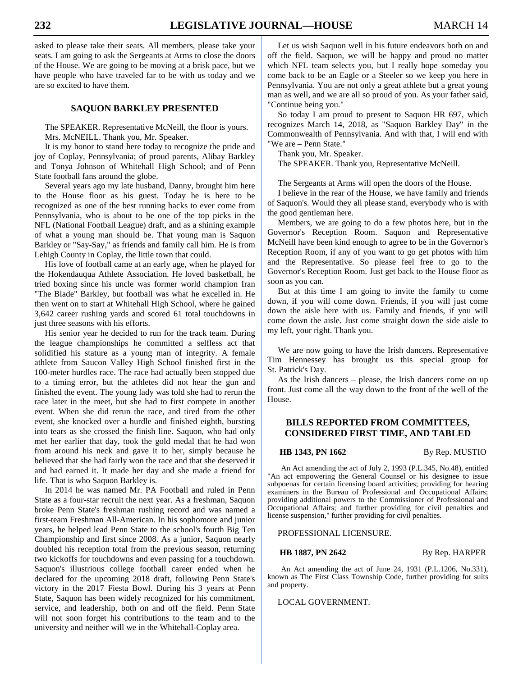asked to please take their seats. All members, please take your seats. I am going to ask the Sergeants at Arms to close the doors of the House. We are going to be moving at a brisk pace, but we have people who have traveled far to be with us today and we are so excited to have them.

# **SAQUON BARKLEY PRESENTED**

 The SPEAKER. Representative McNeill, the floor is yours. Mrs. McNEILL. Thank you, Mr. Speaker.

 It is my honor to stand here today to recognize the pride and joy of Coplay, Pennsylvania; of proud parents, Alibay Barkley and Tonya Johnson of Whitehall High School; and of Penn State football fans around the globe.

 Several years ago my late husband, Danny, brought him here to the House floor as his guest. Today he is here to be recognized as one of the best running backs to ever come from Pennsylvania, who is about to be one of the top picks in the NFL (National Football League) draft, and as a shining example of what a young man should be. That young man is Saquon Barkley or "Say-Say," as friends and family call him. He is from Lehigh County in Coplay, the little town that could.

 His love of football came at an early age, when he played for the Hokendauqua Athlete Association. He loved basketball, he tried boxing since his uncle was former world champion Iran "The Blade" Barkley, but football was what he excelled in. He then went on to start at Whitehall High School, where he gained 3,642 career rushing yards and scored 61 total touchdowns in just three seasons with his efforts.

 His senior year he decided to run for the track team. During the league championships he committed a selfless act that solidified his stature as a young man of integrity. A female athlete from Saucon Valley High School finished first in the 100-meter hurdles race. The race had actually been stopped due to a timing error, but the athletes did not hear the gun and finished the event. The young lady was told she had to rerun the race later in the meet, but she had to first compete in another event. When she did rerun the race, and tired from the other event, she knocked over a hurdle and finished eighth, bursting into tears as she crossed the finish line. Saquon, who had only met her earlier that day, took the gold medal that he had won from around his neck and gave it to her, simply because he believed that she had fairly won the race and that she deserved it and had earned it. It made her day and she made a friend for life. That is who Saquon Barkley is.

 In 2014 he was named Mr. PA Football and ruled in Penn State as a four-star recruit the next year. As a freshman, Saquon broke Penn State's freshman rushing record and was named a first-team Freshman All-American. In his sophomore and junior years, he helped lead Penn State to the school's fourth Big Ten Championship and first since 2008. As a junior, Saquon nearly doubled his reception total from the previous season, returning two kickoffs for touchdowns and even passing for a touchdown. Saquon's illustrious college football career ended when he declared for the upcoming 2018 draft, following Penn State's victory in the 2017 Fiesta Bowl. During his 3 years at Penn State, Saquon has been widely recognized for his commitment, service, and leadership, both on and off the field. Penn State will not soon forget his contributions to the team and to the university and neither will we in the Whitehall-Coplay area.

 Let us wish Saquon well in his future endeavors both on and off the field. Saquon, we will be happy and proud no matter which NFL team selects you, but I really hope someday you come back to be an Eagle or a Steeler so we keep you here in Pennsylvania. You are not only a great athlete but a great young man as well, and we are all so proud of you. As your father said, "Continue being you."

 So today I am proud to present to Saquon HR 697, which recognizes March 14, 2018, as "Saquon Barkley Day" in the Commonwealth of Pennsylvania. And with that, I will end with "We are – Penn State."

Thank you, Mr. Speaker.

The SPEAKER. Thank you, Representative McNeill.

The Sergeants at Arms will open the doors of the House.

 I believe in the rear of the House, we have family and friends of Saquon's. Would they all please stand, everybody who is with the good gentleman here.

 Members, we are going to do a few photos here, but in the Governor's Reception Room. Saquon and Representative McNeill have been kind enough to agree to be in the Governor's Reception Room, if any of you want to go get photos with him and the Representative. So please feel free to go to the Governor's Reception Room. Just get back to the House floor as soon as you can.

 But at this time I am going to invite the family to come down, if you will come down. Friends, if you will just come down the aisle here with us. Family and friends, if you will come down the aisle. Just come straight down the side aisle to my left, your right. Thank you.

 We are now going to have the Irish dancers. Representative Tim Hennessey has brought us this special group for St. Patrick's Day.

 As the Irish dancers – please, the Irish dancers come on up front. Just come all the way down to the front of the well of the House.

# **BILLS REPORTED FROM COMMITTEES, CONSIDERED FIRST TIME, AND TABLED**

**HB 1343, PN 1662** By Rep. MUSTIO

An Act amending the act of July 2, 1993 (P.L.345, No.48), entitled "An act empowering the General Counsel or his designee to issue subpoenas for certain licensing board activities; providing for hearing examiners in the Bureau of Professional and Occupational Affairs; providing additional powers to the Commissioner of Professional and Occupational Affairs; and further providing for civil penalties and license suspension," further providing for civil penalties.

### PROFESSIONAL LICENSURE.

**HB 1887, PN 2642** By Rep. HARPER

An Act amending the act of June 24, 1931 (P.L.1206, No.331), known as The First Class Township Code, further providing for suits and property.

### LOCAL GOVERNMENT.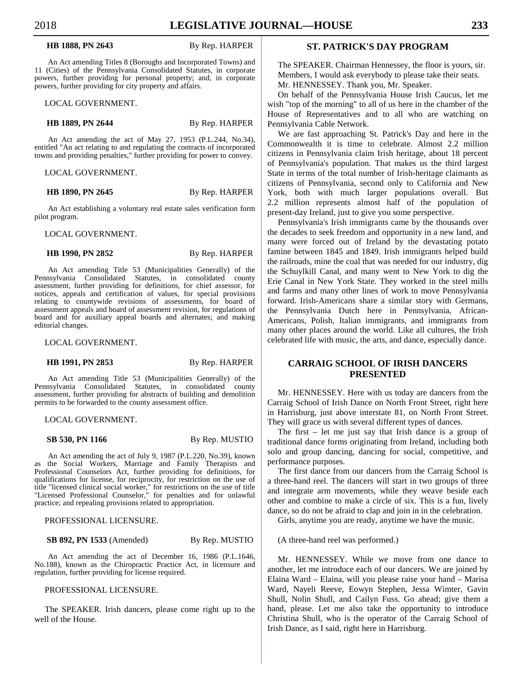## **HB 1888, PN 2643** By Rep. HARPER

An Act amending Titles 8 (Boroughs and Incorporated Towns) and 11 (Cities) of the Pennsylvania Consolidated Statutes, in corporate powers, further providing for personal property; and, in corporate powers, further providing for city property and affairs.

LOCAL GOVERNMENT.

**HB 1889, PN 2644** By Rep. HARPER

An Act amending the act of May 27, 1953 (P.L.244, No.34), entitled "An act relating to and regulating the contracts of incorporated towns and providing penalties," further providing for power to convey.

LOCAL GOVERNMENT.

## **HB 1890, PN 2645** By Rep. HARPER

An Act establishing a voluntary real estate sales verification form pilot program.

LOCAL GOVERNMENT.

## **HB 1990, PN 2852** By Rep. HARPER

An Act amending Title 53 (Municipalities Generally) of the Pennsylvania Consolidated Statutes, in consolidated county assessment, further providing for definitions, for chief assessor, for notices, appeals and certification of values, for special provisions relating to countywide revisions of assessments, for board of assessment appeals and board of assessment revision, for regulations of board and for auxiliary appeal boards and alternates; and making editorial changes.

LOCAL GOVERNMENT.

**HB 1991, PN 2853** By Rep. HARPER

An Act amending Title 53 (Municipalities Generally) of the Pennsylvania Consolidated Statutes, in consolidated county assessment, further providing for abstracts of building and demolition permits to be forwarded to the county assessment office.

LOCAL GOVERNMENT.

**SB 530, PN 1166** By Rep. MUSTIO

An Act amending the act of July 9, 1987 (P.L.220, No.39), known as the Social Workers, Marriage and Family Therapists and Professional Counselors Act, further providing for definitions, for qualifications for license, for reciprocity, for restriction on the use of title "licensed clinical social worker," for restrictions on the use of title "Licensed Professional Counselor," for penalties and for unlawful practice; and repealing provisions related to appropriation.

PROFESSIONAL LICENSURE.

**SB 892, PN 1533** (Amended) By Rep. MUSTIO

An Act amending the act of December 16, 1986 (P.L.1646, No.188), known as the Chiropractic Practice Act, in licensure and regulation, further providing for license required.

## PROFESSIONAL LICENSURE.

 The SPEAKER. Irish dancers, please come right up to the well of the House.

# **ST. PATRICK'S DAY PROGRAM**

 The SPEAKER. Chairman Hennessey, the floor is yours, sir. Members, I would ask everybody to please take their seats. Mr. HENNESSEY. Thank you, Mr. Speaker.

 On behalf of the Pennsylvania House Irish Caucus, let me wish "top of the morning" to all of us here in the chamber of the House of Representatives and to all who are watching on Pennsylvania Cable Network.

 We are fast approaching St. Patrick's Day and here in the Commonwealth it is time to celebrate. Almost 2.2 million citizens in Pennsylvania claim Irish heritage, about 18 percent of Pennsylvania's population. That makes us the third largest State in terms of the total number of Irish-heritage claimants as citizens of Pennsylvania, second only to California and New York, both with much larger populations overall. But 2.2 million represents almost half of the population of present-day Ireland, just to give you some perspective.

 Pennsylvania's Irish immigrants came by the thousands over the decades to seek freedom and opportunity in a new land, and many were forced out of Ireland by the devastating potato famine between 1845 and 1849. Irish immigrants helped build the railroads, mine the coal that was needed for our industry, dig the Schuylkill Canal, and many went to New York to dig the Erie Canal in New York State. They worked in the steel mills and farms and many other lines of work to move Pennsylvania forward. Irish-Americans share a similar story with Germans, the Pennsylvania Dutch here in Pennsylvania, African-Americans, Polish, Italian immigrants, and immigrants from many other places around the world. Like all cultures, the Irish celebrated life with music, the arts, and dance, especially dance.

# **CARRAIG SCHOOL OF IRISH DANCERS PRESENTED**

 Mr. HENNESSEY. Here with us today are dancers from the Carraig School of Irish Dance on North Front Street, right here in Harrisburg, just above interstate 81, on North Front Street. They will grace us with several different types of dances.

 The first – let me just say that Irish dance is a group of traditional dance forms originating from Ireland, including both solo and group dancing, dancing for social, competitive, and performance purposes.

 The first dance from our dancers from the Carraig School is a three-hand reel. The dancers will start in two groups of three and integrate arm movements, while they weave beside each other and combine to make a circle of six. This is a fun, lively dance, so do not be afraid to clap and join in in the celebration.

Girls, anytime you are ready, anytime we have the music.

(A three-hand reel was performed.)

 Mr. HENNESSEY. While we move from one dance to another, let me introduce each of our dancers. We are joined by Elaina Ward – Elaina, will you please raise your hand – Marisa Ward, Nayeli Reeve, Eowyn Stephen, Jessa Wimter, Gavin Shull, Nolin Shull, and Cailyn Fuss. Go ahead; give them a hand, please. Let me also take the opportunity to introduce Christina Shull, who is the operator of the Carraig School of Irish Dance, as I said, right here in Harrisburg.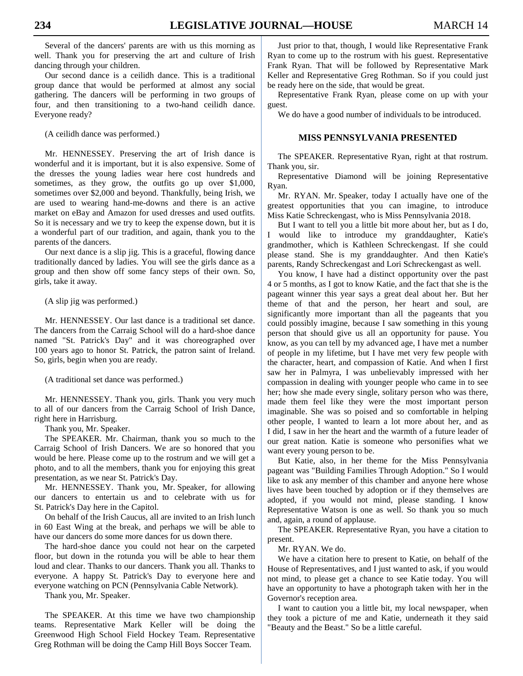Several of the dancers' parents are with us this morning as well. Thank you for preserving the art and culture of Irish dancing through your children.

 Our second dance is a ceilidh dance. This is a traditional group dance that would be performed at almost any social gathering. The dancers will be performing in two groups of four, and then transitioning to a two-hand ceilidh dance. Everyone ready?

(A ceilidh dance was performed.)

 Mr. HENNESSEY. Preserving the art of Irish dance is wonderful and it is important, but it is also expensive. Some of the dresses the young ladies wear here cost hundreds and sometimes, as they grow, the outfits go up over \$1,000, sometimes over \$2,000 and beyond. Thankfully, being Irish, we are used to wearing hand-me-downs and there is an active market on eBay and Amazon for used dresses and used outfits. So it is necessary and we try to keep the expense down, but it is a wonderful part of our tradition, and again, thank you to the parents of the dancers.

 Our next dance is a slip jig. This is a graceful, flowing dance traditionally danced by ladies. You will see the girls dance as a group and then show off some fancy steps of their own. So, girls, take it away.

(A slip jig was performed.)

 Mr. HENNESSEY. Our last dance is a traditional set dance. The dancers from the Carraig School will do a hard-shoe dance named "St. Patrick's Day" and it was choreographed over 100 years ago to honor St. Patrick, the patron saint of Ireland. So, girls, begin when you are ready.

(A traditional set dance was performed.)

 Mr. HENNESSEY. Thank you, girls. Thank you very much to all of our dancers from the Carraig School of Irish Dance, right here in Harrisburg.

Thank you, Mr. Speaker.

 The SPEAKER. Mr. Chairman, thank you so much to the Carraig School of Irish Dancers. We are so honored that you would be here. Please come up to the rostrum and we will get a photo, and to all the members, thank you for enjoying this great presentation, as we near St. Patrick's Day.

 Mr. HENNESSEY. Thank you, Mr. Speaker, for allowing our dancers to entertain us and to celebrate with us for St. Patrick's Day here in the Capitol.

 On behalf of the Irish Caucus, all are invited to an Irish lunch in 60 East Wing at the break, and perhaps we will be able to have our dancers do some more dances for us down there.

 The hard-shoe dance you could not hear on the carpeted floor, but down in the rotunda you will be able to hear them loud and clear. Thanks to our dancers. Thank you all. Thanks to everyone. A happy St. Patrick's Day to everyone here and everyone watching on PCN (Pennsylvania Cable Network).

Thank you, Mr. Speaker.

 The SPEAKER. At this time we have two championship teams. Representative Mark Keller will be doing the Greenwood High School Field Hockey Team. Representative Greg Rothman will be doing the Camp Hill Boys Soccer Team.

 Just prior to that, though, I would like Representative Frank Ryan to come up to the rostrum with his guest. Representative Frank Ryan. That will be followed by Representative Mark Keller and Representative Greg Rothman. So if you could just be ready here on the side, that would be great.

 Representative Frank Ryan, please come on up with your guest.

We do have a good number of individuals to be introduced.

# **MISS PENNSYLVANIA PRESENTED**

 The SPEAKER. Representative Ryan, right at that rostrum. Thank you, sir.

 Representative Diamond will be joining Representative Ryan.

 Mr. RYAN. Mr. Speaker, today I actually have one of the greatest opportunities that you can imagine, to introduce Miss Katie Schreckengast, who is Miss Pennsylvania 2018.

 But I want to tell you a little bit more about her, but as I do, I would like to introduce my granddaughter, Katie's grandmother, which is Kathleen Schreckengast. If she could please stand. She is my granddaughter. And then Katie's parents, Randy Schreckengast and Lori Schreckengast as well.

 You know, I have had a distinct opportunity over the past 4 or 5 months, as I got to know Katie, and the fact that she is the pageant winner this year says a great deal about her. But her theme of that and the person, her heart and soul, are significantly more important than all the pageants that you could possibly imagine, because I saw something in this young person that should give us all an opportunity for pause. You know, as you can tell by my advanced age, I have met a number of people in my lifetime, but I have met very few people with the character, heart, and compassion of Katie. And when I first saw her in Palmyra, I was unbelievably impressed with her compassion in dealing with younger people who came in to see her; how she made every single, solitary person who was there, made them feel like they were the most important person imaginable. She was so poised and so comfortable in helping other people, I wanted to learn a lot more about her, and as I did, I saw in her the heart and the warmth of a future leader of our great nation. Katie is someone who personifies what we want every young person to be.

 But Katie, also, in her theme for the Miss Pennsylvania pageant was "Building Families Through Adoption." So I would like to ask any member of this chamber and anyone here whose lives have been touched by adoption or if they themselves are adopted, if you would not mind, please standing. I know Representative Watson is one as well. So thank you so much and, again, a round of applause.

 The SPEAKER. Representative Ryan, you have a citation to present.

Mr. RYAN. We do.

 We have a citation here to present to Katie, on behalf of the House of Representatives, and I just wanted to ask, if you would not mind, to please get a chance to see Katie today. You will have an opportunity to have a photograph taken with her in the Governor's reception area.

 I want to caution you a little bit, my local newspaper, when they took a picture of me and Katie, underneath it they said "Beauty and the Beast." So be a little careful.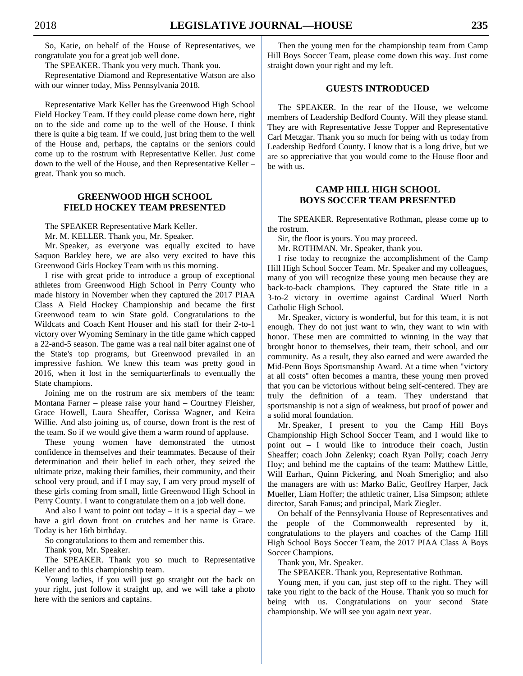So, Katie, on behalf of the House of Representatives, we congratulate you for a great job well done.

The SPEAKER. Thank you very much. Thank you.

 Representative Diamond and Representative Watson are also with our winner today, Miss Pennsylvania 2018.

 Representative Mark Keller has the Greenwood High School Field Hockey Team. If they could please come down here, right on to the side and come up to the well of the House. I think there is quite a big team. If we could, just bring them to the well of the House and, perhaps, the captains or the seniors could come up to the rostrum with Representative Keller. Just come down to the well of the House, and then Representative Keller – great. Thank you so much.

# **GREENWOOD HIGH SCHOOL FIELD HOCKEY TEAM PRESENTED**

The SPEAKER Representative Mark Keller.

Mr. M. KELLER. Thank you, Mr. Speaker.

 Mr. Speaker, as everyone was equally excited to have Saquon Barkley here, we are also very excited to have this Greenwood Girls Hockey Team with us this morning.

 I rise with great pride to introduce a group of exceptional athletes from Greenwood High School in Perry County who made history in November when they captured the 2017 PIAA Class A Field Hockey Championship and became the first Greenwood team to win State gold. Congratulations to the Wildcats and Coach Kent Houser and his staff for their 2-to-1 victory over Wyoming Seminary in the title game which capped a 22-and-5 season. The game was a real nail biter against one of the State's top programs, but Greenwood prevailed in an impressive fashion. We knew this team was pretty good in 2016, when it lost in the semiquarterfinals to eventually the State champions.

 Joining me on the rostrum are six members of the team: Montana Farner – please raise your hand – Courtney Fleisher, Grace Howell, Laura Sheaffer, Corissa Wagner, and Keira Willie. And also joining us, of course, down front is the rest of the team. So if we would give them a warm round of applause.

 These young women have demonstrated the utmost confidence in themselves and their teammates. Because of their determination and their belief in each other, they seized the ultimate prize, making their families, their community, and their school very proud, and if I may say, I am very proud myself of these girls coming from small, little Greenwood High School in Perry County. I want to congratulate them on a job well done.

And also I want to point out today – it is a special day – we have a girl down front on crutches and her name is Grace. Today is her 16th birthday.

So congratulations to them and remember this.

Thank you, Mr. Speaker.

 The SPEAKER. Thank you so much to Representative Keller and to this championship team.

 Young ladies, if you will just go straight out the back on your right, just follow it straight up, and we will take a photo here with the seniors and captains.

 Then the young men for the championship team from Camp Hill Boys Soccer Team, please come down this way. Just come straight down your right and my left.

# **GUESTS INTRODUCED**

 The SPEAKER. In the rear of the House, we welcome members of Leadership Bedford County. Will they please stand. They are with Representative Jesse Topper and Representative Carl Metzgar. Thank you so much for being with us today from Leadership Bedford County. I know that is a long drive, but we are so appreciative that you would come to the House floor and be with us.

# **CAMP HILL HIGH SCHOOL BOYS SOCCER TEAM PRESENTED**

 The SPEAKER. Representative Rothman, please come up to the rostrum.

Sir, the floor is yours. You may proceed.

Mr. ROTHMAN. Mr. Speaker, thank you.

 I rise today to recognize the accomplishment of the Camp Hill High School Soccer Team. Mr. Speaker and my colleagues, many of you will recognize these young men because they are back-to-back champions. They captured the State title in a 3-to-2 victory in overtime against Cardinal Wuerl North Catholic High School.

 Mr. Speaker, victory is wonderful, but for this team, it is not enough. They do not just want to win, they want to win with honor. These men are committed to winning in the way that brought honor to themselves, their team, their school, and our community. As a result, they also earned and were awarded the Mid-Penn Boys Sportsmanship Award. At a time when "victory at all costs" often becomes a mantra, these young men proved that you can be victorious without being self-centered. They are truly the definition of a team. They understand that sportsmanship is not a sign of weakness, but proof of power and a solid moral foundation.

 Mr. Speaker, I present to you the Camp Hill Boys Championship High School Soccer Team, and I would like to point out – I would like to introduce their coach, Justin Sheaffer; coach John Zelenky; coach Ryan Polly; coach Jerry Hoy; and behind me the captains of the team: Matthew Little, Will Earhart, Quinn Pickering, and Noah Smeriglio; and also the managers are with us: Marko Balic, Geoffrey Harper, Jack Mueller, Liam Hoffer; the athletic trainer, Lisa Simpson; athlete director, Sarah Fanus; and principal, Mark Ziegler.

 On behalf of the Pennsylvania House of Representatives and the people of the Commonwealth represented by it, congratulations to the players and coaches of the Camp Hill High School Boys Soccer Team, the 2017 PIAA Class A Boys Soccer Champions.

Thank you, Mr. Speaker.

The SPEAKER. Thank you, Representative Rothman.

 Young men, if you can, just step off to the right. They will take you right to the back of the House. Thank you so much for being with us. Congratulations on your second State championship. We will see you again next year.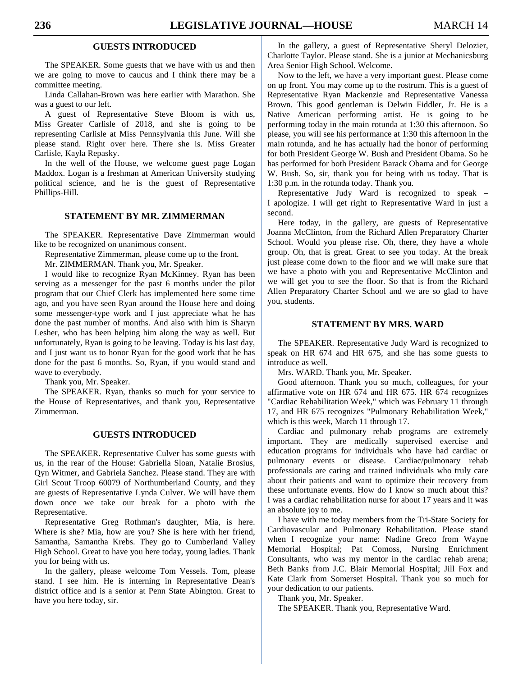# **GUESTS INTRODUCED**

 The SPEAKER. Some guests that we have with us and then we are going to move to caucus and I think there may be a committee meeting.

 Linda Callahan-Brown was here earlier with Marathon. She was a guest to our left.

 A guest of Representative Steve Bloom is with us, Miss Greater Carlisle of 2018, and she is going to be representing Carlisle at Miss Pennsylvania this June. Will she please stand. Right over here. There she is. Miss Greater Carlisle, Kayla Repasky.

 In the well of the House, we welcome guest page Logan Maddox. Logan is a freshman at American University studying political science, and he is the guest of Representative Phillips-Hill.

# **STATEMENT BY MR. ZIMMERMAN**

 The SPEAKER. Representative Dave Zimmerman would like to be recognized on unanimous consent.

Representative Zimmerman, please come up to the front.

Mr. ZIMMERMAN. Thank you, Mr. Speaker.

 I would like to recognize Ryan McKinney. Ryan has been serving as a messenger for the past 6 months under the pilot program that our Chief Clerk has implemented here some time ago, and you have seen Ryan around the House here and doing some messenger-type work and I just appreciate what he has done the past number of months. And also with him is Sharyn Lesher, who has been helping him along the way as well. But unfortunately, Ryan is going to be leaving. Today is his last day, and I just want us to honor Ryan for the good work that he has done for the past 6 months. So, Ryan, if you would stand and wave to everybody.

Thank you, Mr. Speaker.

 The SPEAKER. Ryan, thanks so much for your service to the House of Representatives, and thank you, Representative Zimmerman.

## **GUESTS INTRODUCED**

 The SPEAKER. Representative Culver has some guests with us, in the rear of the House: Gabriella Sloan, Natalie Brosius, Qyn Witmer, and Gabriela Sanchez. Please stand. They are with Girl Scout Troop 60079 of Northumberland County, and they are guests of Representative Lynda Culver. We will have them down once we take our break for a photo with the Representative.

 Representative Greg Rothman's daughter, Mia, is here. Where is she? Mia, how are you? She is here with her friend, Samantha, Samantha Krebs. They go to Cumberland Valley High School. Great to have you here today, young ladies. Thank you for being with us.

 In the gallery, please welcome Tom Vessels. Tom, please stand. I see him. He is interning in Representative Dean's district office and is a senior at Penn State Abington. Great to have you here today, sir.

 In the gallery, a guest of Representative Sheryl Delozier, Charlotte Taylor. Please stand. She is a junior at Mechanicsburg Area Senior High School. Welcome.

 Now to the left, we have a very important guest. Please come on up front. You may come up to the rostrum. This is a guest of Representative Ryan Mackenzie and Representative Vanessa Brown. This good gentleman is Delwin Fiddler, Jr. He is a Native American performing artist. He is going to be performing today in the main rotunda at 1:30 this afternoon. So please, you will see his performance at 1:30 this afternoon in the main rotunda, and he has actually had the honor of performing for both President George W. Bush and President Obama. So he has performed for both President Barack Obama and for George W. Bush. So, sir, thank you for being with us today. That is 1:30 p.m. in the rotunda today. Thank you.

 Representative Judy Ward is recognized to speak – I apologize. I will get right to Representative Ward in just a second.

 Here today, in the gallery, are guests of Representative Joanna McClinton, from the Richard Allen Preparatory Charter School. Would you please rise. Oh, there, they have a whole group. Oh, that is great. Great to see you today. At the break just please come down to the floor and we will make sure that we have a photo with you and Representative McClinton and we will get you to see the floor. So that is from the Richard Allen Preparatory Charter School and we are so glad to have you, students.

# **STATEMENT BY MRS. WARD**

 The SPEAKER. Representative Judy Ward is recognized to speak on HR 674 and HR 675, and she has some guests to introduce as well.

Mrs. WARD. Thank you, Mr. Speaker.

 Good afternoon. Thank you so much, colleagues, for your affirmative vote on HR 674 and HR 675. HR 674 recognizes "Cardiac Rehabilitation Week," which was February 11 through 17, and HR 675 recognizes "Pulmonary Rehabilitation Week," which is this week, March 11 through 17.

 Cardiac and pulmonary rehab programs are extremely important. They are medically supervised exercise and education programs for individuals who have had cardiac or pulmonary events or disease. Cardiac/pulmonary rehab professionals are caring and trained individuals who truly care about their patients and want to optimize their recovery from these unfortunate events. How do I know so much about this? I was a cardiac rehabilitation nurse for about 17 years and it was an absolute joy to me.

 I have with me today members from the Tri-State Society for Cardiovascular and Pulmonary Rehabilitation. Please stand when I recognize your name: Nadine Greco from Wayne Memorial Hospital; Pat Comoss, Nursing Enrichment Consultants, who was my mentor in the cardiac rehab arena; Beth Banks from J.C. Blair Memorial Hospital; Jill Fox and Kate Clark from Somerset Hospital. Thank you so much for your dedication to our patients.

Thank you, Mr. Speaker.

The SPEAKER. Thank you, Representative Ward.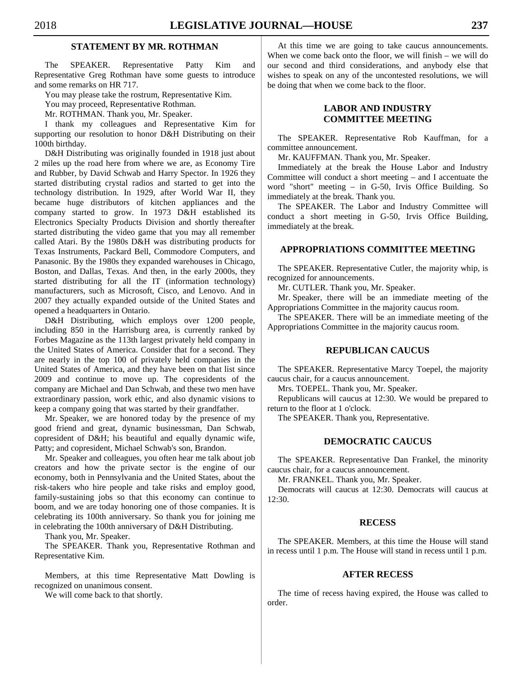# **STATEMENT BY MR. ROTHMAN**

 The SPEAKER. Representative Patty Kim and Representative Greg Rothman have some guests to introduce and some remarks on HR 717.

You may please take the rostrum, Representative Kim.

You may proceed, Representative Rothman.

Mr. ROTHMAN. Thank you, Mr. Speaker.

 I thank my colleagues and Representative Kim for supporting our resolution to honor D&H Distributing on their 100th birthday.

 D&H Distributing was originally founded in 1918 just about 2 miles up the road here from where we are, as Economy Tire and Rubber, by David Schwab and Harry Spector. In 1926 they started distributing crystal radios and started to get into the technology distribution. In 1929, after World War II, they became huge distributors of kitchen appliances and the company started to grow. In 1973 D&H established its Electronics Specialty Products Division and shortly thereafter started distributing the video game that you may all remember called Atari. By the 1980s D&H was distributing products for Texas Instruments, Packard Bell, Commodore Computers, and Panasonic. By the 1980s they expanded warehouses in Chicago, Boston, and Dallas, Texas. And then, in the early 2000s, they started distributing for all the IT (information technology) manufacturers, such as Microsoft, Cisco, and Lenovo. And in 2007 they actually expanded outside of the United States and opened a headquarters in Ontario.

 D&H Distributing, which employs over 1200 people, including 850 in the Harrisburg area, is currently ranked by Forbes Magazine as the 113th largest privately held company in the United States of America. Consider that for a second. They are nearly in the top 100 of privately held companies in the United States of America, and they have been on that list since 2009 and continue to move up. The copresidents of the company are Michael and Dan Schwab, and these two men have extraordinary passion, work ethic, and also dynamic visions to keep a company going that was started by their grandfather.

 Mr. Speaker, we are honored today by the presence of my good friend and great, dynamic businessman, Dan Schwab, copresident of D&H; his beautiful and equally dynamic wife, Patty; and copresident, Michael Schwab's son, Brandon.

 Mr. Speaker and colleagues, you often hear me talk about job creators and how the private sector is the engine of our economy, both in Pennsylvania and the United States, about the risk-takers who hire people and take risks and employ good, family-sustaining jobs so that this economy can continue to boom, and we are today honoring one of those companies. It is celebrating its 100th anniversary. So thank you for joining me in celebrating the 100th anniversary of D&H Distributing.

Thank you, Mr. Speaker.

 The SPEAKER. Thank you, Representative Rothman and Representative Kim.

 Members, at this time Representative Matt Dowling is recognized on unanimous consent.

We will come back to that shortly.

 At this time we are going to take caucus announcements. When we come back onto the floor, we will finish – we will do our second and third considerations, and anybody else that wishes to speak on any of the uncontested resolutions, we will be doing that when we come back to the floor.

# **LABOR AND INDUSTRY COMMITTEE MEETING**

 The SPEAKER. Representative Rob Kauffman, for a committee announcement.

Mr. KAUFFMAN. Thank you, Mr. Speaker.

 Immediately at the break the House Labor and Industry Committee will conduct a short meeting – and I accentuate the word "short" meeting – in G-50, Irvis Office Building. So immediately at the break. Thank you.

 The SPEAKER. The Labor and Industry Committee will conduct a short meeting in G-50, Irvis Office Building, immediately at the break.

# **APPROPRIATIONS COMMITTEE MEETING**

 The SPEAKER. Representative Cutler, the majority whip, is recognized for announcements.

Mr. CUTLER. Thank you, Mr. Speaker.

 Mr. Speaker, there will be an immediate meeting of the Appropriations Committee in the majority caucus room.

 The SPEAKER. There will be an immediate meeting of the Appropriations Committee in the majority caucus room.

## **REPUBLICAN CAUCUS**

 The SPEAKER. Representative Marcy Toepel, the majority caucus chair, for a caucus announcement.

Mrs. TOEPEL. Thank you, Mr. Speaker.

 Republicans will caucus at 12:30. We would be prepared to return to the floor at 1 o'clock.

The SPEAKER. Thank you, Representative.

# **DEMOCRATIC CAUCUS**

 The SPEAKER. Representative Dan Frankel, the minority caucus chair, for a caucus announcement.

Mr. FRANKEL. Thank you, Mr. Speaker.

 Democrats will caucus at 12:30. Democrats will caucus at 12:30.

### **RECESS**

 The SPEAKER. Members, at this time the House will stand in recess until 1 p.m. The House will stand in recess until 1 p.m.

# **AFTER RECESS**

 The time of recess having expired, the House was called to order.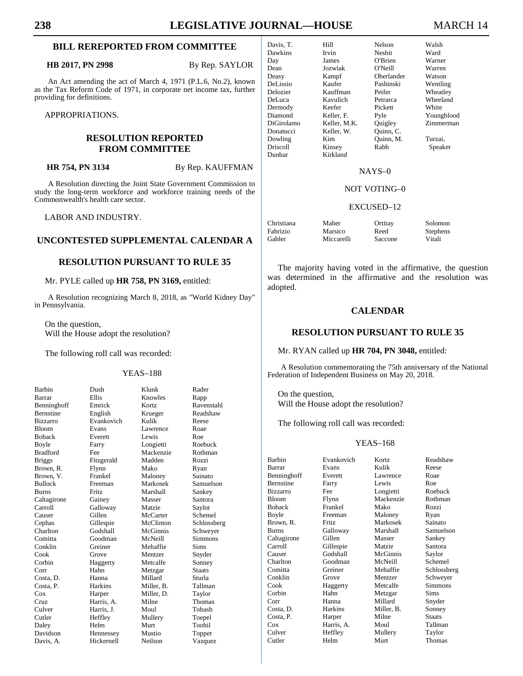# **BILL REREPORTED FROM COMMITTEE**

**HB 2017, PN 2998** By Rep. SAYLOR

An Act amending the act of March 4, 1971 (P.L.6, No.2), known as the Tax Reform Code of 1971, in corporate net income tax, further providing for definitions.

APPROPRIATIONS.

# **RESOLUTION REPORTED FROM COMMITTEE**

**HR 754, PN 3134** By Rep. KAUFFMAN

A Resolution directing the Joint State Government Commission to study the long-term workforce and workforce training needs of the Commonwealth's health care sector.

LABOR AND INDUSTRY.

# **UNCONTESTED SUPPLEMENTAL CALENDAR A**

# **RESOLUTION PURSUANT TO RULE 35**

Mr. PYLE called up **HR 758, PN 3169,** entitled:

A Resolution recognizing March 8, 2018, as "World Kidney Day" in Pennsylvania.

 On the question, Will the House adopt the resolution?

The following roll call was recorded:

Galloway

Goodman

## YEAS–188

| <b>Barbin</b>    |
|------------------|
| Barrar           |
| Benninghoff      |
| <b>Bernstine</b> |
| <b>Bizzarro</b>  |
| <b>Bloom</b>     |
| <b>Boback</b>    |
| Boyle            |
| <b>Bradford</b>  |
| <b>Briggs</b>    |
| Brown, R.        |
| Brown, V.        |
| <b>Bullock</b>   |
| <b>Burns</b>     |
| Caltagirone      |
| Carroll          |
| Causer           |
| Cephas           |
| Charlton         |
| Comitta          |
| Conklin          |
| Cook             |
| Corbin           |
| Corr             |
| Costa, D.        |
| Costa, P.        |
| Cox              |
| Cruz             |
| Culver           |
| Cutler           |
| Daley            |
| Davidson         |
| Davis, A.        |
|                  |

Barbin Dush Klunk Rader Ellis Knowles Rapp<br>Emrick Kortz Raver English Krueger Reads<br>Evankovich Kulik Reese Evankovich Evans Lawrence Roae Everett Lewis Roe<br>
Farry Longietti Roebuck Longietti Fee Mackenzie Rothman<br>Fitzgerald Madden Rozzi Fitzgerald Madden Rozzi<br>Flynn Mako Ryan Brown, R. Flynn Mako Ryan Frankel Maloney Sainato Freeman Markosek Samuelson Fritz Marshall Sankey Gainey Masser Santora<br>Galloway Matzie Saylor Gillen McCarter Schemel<br>Gillespie McClinton Schlossb Godshall McGinnis Schweyer<br>Goodman McNeill Simmons Greiner Mehaffie Sims Grove Mentzer Snyder Haggerty Metcalfe Sonney Hahn Metzgar Staats Hanna Millard Sturla<br>Harkins Miller, B. Tallman Miller, B. Harper Miller, D. Taylor Harris, A. Milne Thomas Harris, J. Moul Tobash<br>
Heffley Mullery Toepel Mullery Toepel Daley Helm Murt Toohil Hennessey Mustio Topper Hickernell Neilson Vazquez

Ravenstahl<br>Readshaw Schlossberg

| Davis, T.       | Hill         | Nelson        | Walsh      |
|-----------------|--------------|---------------|------------|
| Dawkins         | Irvin        | <b>Nesbit</b> | Ward       |
| Day             | James        | O'Brien       | Warner     |
| Dean            | Jozwiak      | O'Neill       | Warren     |
| Deasy           | Kampf        | Oberlander    | Watson     |
| DeLissio        | Kaufer       | Pashinski     | Wentling   |
| Delozier        | Kauffman     | Peifer        | Wheatley   |
| DeLuca          | Kavulich     | Petrarca      | Wheeland   |
| Dermody         | Keefer       | Pickett       | White      |
| Diamond         | Keller, F.   | Pyle          | Youngblood |
| DiGirolamo      | Keller, M.K. | Quigley       | Zimmerman  |
| Donatucci       | Keller, W.   | Quinn, C.     |            |
| Dowling         | Kim          | Ouinn, M.     | Turzai.    |
| <b>Driscoll</b> | Kinsey       | Rabb          | Speaker    |
| Dunbar          | Kirkland     |               |            |

## NAYS–0

## NOT VOTING–0

## EXCUSED–12

| Christiana | Maher      | Ortitay | Solomon         |
|------------|------------|---------|-----------------|
| Fabrizio   | Marsico    | Reed    | <b>Stephens</b> |
| Gabler     | Miccarelli | Saccone | Vitali          |

 The majority having voted in the affirmative, the question was determined in the affirmative and the resolution was adopted.

# **CALENDAR**

## **RESOLUTION PURSUANT TO RULE 35**

Mr. RYAN called up **HR 704, PN 3048,** entitled:

A Resolution commemorating the 75th anniversary of the National Federation of Independent Business on May 20, 2018.

 On the question, Will the House adopt the resolution?

The following roll call was recorded:

## YEAS–168

| Barbin      | Evankovich   | Kortz      | Readshaw      |
|-------------|--------------|------------|---------------|
| Barrar      | Evans        | Kulik      | Reese         |
| Benninghoff | Everett      | Lawrence   | Roae          |
| Bernstine   | Farry        | Lewis      | Roe           |
| Bizzarro    | Fee          | Longietti  | Roebuck       |
| Bloom       | Flynn        | Mackenzie  | Rothman       |
| Boback      | Frankel      | Mako       | Rozzi         |
| Boyle       | Freeman      | Maloney    | Ryan          |
| Brown, R.   | <b>Fritz</b> | Markosek   | Sainato       |
| Burns       | Galloway     | Marshall   | Samuelson     |
| Caltagirone | Gillen       | Masser     | Sankey        |
| Carroll     | Gillespie    | Matzie     | Santora       |
| Causer      | Godshall     | McGinnis   | Saylor        |
| Charlton    | Goodman      | McNeill    | Schemel       |
| Comitta     | Greiner      | Mehaffie   | Schlossberg   |
| Conklin     | Grove        | Mentzer    | Schweyer      |
| Cook        | Haggerty     | Metcalfe   | Simmons       |
| Corbin      | Hahn         | Metzgar    | Sims          |
| Corr        | Hanna        | Millard    | Snyder        |
| Costa, D.   | Harkins      | Miller, B. | Sonney        |
| Costa, P.   | Harper       | Milne      | <b>Staats</b> |
| Cox         | Harris, A.   | Moul       | Tallman       |
| Culver      | Heffley      | Mullery    | Taylor        |
| Cutler      | Helm         | Murt       | Thomas        |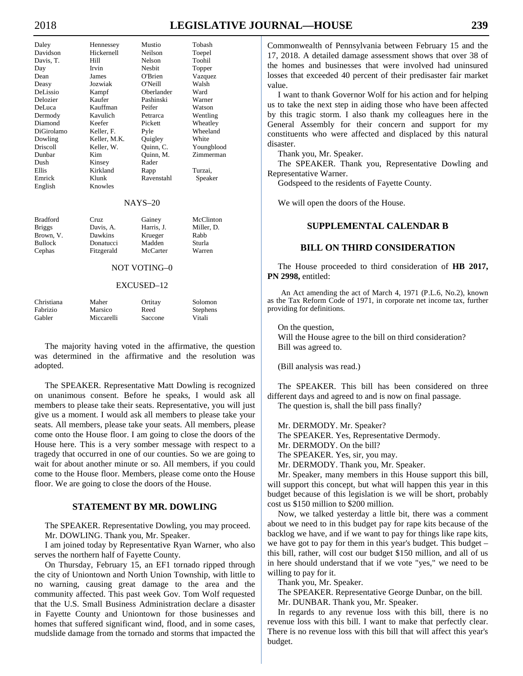# 2018 **LEGISLATIVE JOURNAL—HOUSE 239**

| Daley           | Hennessey    | Mustio        | Tobash     |
|-----------------|--------------|---------------|------------|
| Davidson        | Hickernell   | Neilson       | Toepel     |
| Davis, T.       | Hill         | <b>Nelson</b> | Toohil     |
| Day             | Irvin        | Nesbit        | Topper     |
| Dean            | James        | O'Brien       | Vazquez    |
| Deasy           | Jozwiak      | O'Neill       | Walsh      |
| DeLissio        | Kampf        | Oberlander    | Ward       |
| Delozier        | Kaufer       | Pashinski     | Warner     |
| DeLuca          | Kauffman     | Peifer        | Watson     |
| Dermody         | Kavulich     | Petrarca      | Wentling   |
| Diamond         | Keefer       | Pickett       | Wheatley   |
| DiGirolamo      | Keller, F.   | Pyle          | Wheeland   |
| Dowling         | Keller, M.K. | Quigley       | White      |
| Driscoll        | Keller, W.   | Quinn, C.     | Youngblood |
| Dunbar          | Kim          | Ouinn, M.     | Zimmerman  |
| Dush            | Kinsey       | Rader         |            |
| Ellis           | Kirkland     | Rapp          | Turzai,    |
| Emrick          | Klunk        | Ravenstahl    | Speaker    |
| English         | Knowles      |               |            |
|                 |              | $NAYS-20$     |            |
| <b>Bradford</b> | Cruz         | Gainey        | McClinton  |
| Briggs          | Davis, A.    | Harris, J.    | Miller, D. |
| Brown, V.       | Dawkins      | Krueger       | Rabb       |
| Bullock         | Donatucci    | Madden        | Sturla     |
| Cephas          | Fitzgerald   | McCarter      | Warren     |
|                 |              | NOT VOTING–0  |            |

## EXCUSED–12

| Christiana | Maher      | Ortitay | Solomon  |
|------------|------------|---------|----------|
| Fabrizio   | Marsico    | Reed    | Stephens |
| Gabler     | Miccarelli | Saccone | Vitali   |

 The majority having voted in the affirmative, the question was determined in the affirmative and the resolution was adopted.

 The SPEAKER. Representative Matt Dowling is recognized on unanimous consent. Before he speaks, I would ask all members to please take their seats. Representative, you will just give us a moment. I would ask all members to please take your seats. All members, please take your seats. All members, please come onto the House floor. I am going to close the doors of the House here. This is a very somber message with respect to a tragedy that occurred in one of our counties. So we are going to wait for about another minute or so. All members, if you could come to the House floor. Members, please come onto the House floor. We are going to close the doors of the House.

# **STATEMENT BY MR. DOWLING**

 The SPEAKER. Representative Dowling, you may proceed. Mr. DOWLING. Thank you, Mr. Speaker.

 I am joined today by Representative Ryan Warner, who also serves the northern half of Fayette County.

 On Thursday, February 15, an EF1 tornado ripped through the city of Uniontown and North Union Township, with little to no warning, causing great damage to the area and the community affected. This past week Gov. Tom Wolf requested that the U.S. Small Business Administration declare a disaster in Fayette County and Uniontown for those businesses and homes that suffered significant wind, flood, and in some cases, mudslide damage from the tornado and storms that impacted the

Commonwealth of Pennsylvania between February 15 and the 17, 2018. A detailed damage assessment shows that over 38 of the homes and businesses that were involved had uninsured losses that exceeded 40 percent of their predisaster fair market value.

 I want to thank Governor Wolf for his action and for helping us to take the next step in aiding those who have been affected by this tragic storm. I also thank my colleagues here in the General Assembly for their concern and support for my constituents who were affected and displaced by this natural disaster.

Thank you, Mr. Speaker.

 The SPEAKER. Thank you, Representative Dowling and Representative Warner.

Godspeed to the residents of Fayette County.

We will open the doors of the House.

# **SUPPLEMENTAL CALENDAR B**

# **BILL ON THIRD CONSIDERATION**

 The House proceeded to third consideration of **HB 2017, PN 2998,** entitled:

An Act amending the act of March 4, 1971 (P.L.6, No.2), known as the Tax Reform Code of 1971, in corporate net income tax, further providing for definitions.

 On the question, Will the House agree to the bill on third consideration? Bill was agreed to.

(Bill analysis was read.)

 The SPEAKER. This bill has been considered on three different days and agreed to and is now on final passage. The question is, shall the bill pass finally?

 Mr. DERMODY. Mr. Speaker? The SPEAKER. Yes, Representative Dermody. Mr. DERMODY. On the bill? The SPEAKER. Yes, sir, you may. Mr. DERMODY. Thank you, Mr. Speaker.

 Mr. Speaker, many members in this House support this bill, will support this concept, but what will happen this year in this budget because of this legislation is we will be short, probably cost us \$150 million to \$200 million.

 Now, we talked yesterday a little bit, there was a comment about we need to in this budget pay for rape kits because of the backlog we have, and if we want to pay for things like rape kits, we have got to pay for them in this year's budget. This budget – this bill, rather, will cost our budget \$150 million, and all of us in here should understand that if we vote "yes," we need to be willing to pay for it.

Thank you, Mr. Speaker.

 The SPEAKER. Representative George Dunbar, on the bill. Mr. DUNBAR. Thank you, Mr. Speaker.

 In regards to any revenue loss with this bill, there is no revenue loss with this bill. I want to make that perfectly clear. There is no revenue loss with this bill that will affect this year's budget.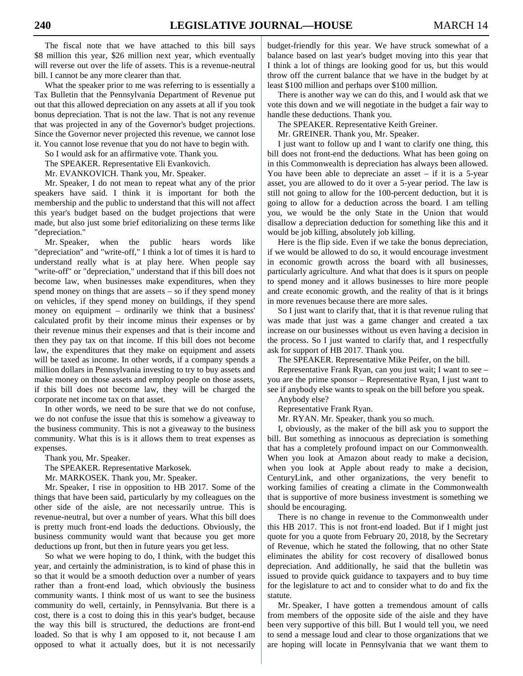The fiscal note that we have attached to this bill says \$8 million this year, \$26 million next year, which eventually will reverse out over the life of assets. This is a revenue-neutral bill. I cannot be any more clearer than that.

 What the speaker prior to me was referring to is essentially a Tax Bulletin that the Pennsylvania Department of Revenue put out that this allowed depreciation on any assets at all if you took bonus depreciation. That is not the law. That is not any revenue that was projected in any of the Governor's budget projections. Since the Governor never projected this revenue, we cannot lose it. You cannot lose revenue that you do not have to begin with.

So I would ask for an affirmative vote. Thank you.

The SPEAKER. Representative Eli Evankovich.

Mr. EVANKOVICH. Thank you, Mr. Speaker.

 Mr. Speaker, I do not mean to repeat what any of the prior speakers have said. I think it is important for both the membership and the public to understand that this will not affect this year's budget based on the budget projections that were made, but also just some brief editorializing on these terms like "depreciation."

 Mr. Speaker, when the public hears words like "depreciation" and "write-off," I think a lot of times it is hard to understand really what is at play here. When people say "write-off" or "depreciation," understand that if this bill does not become law, when businesses make expenditures, when they spend money on things that are assets – so if they spend money on vehicles, if they spend money on buildings, if they spend money on equipment – ordinarily we think that a business' calculated profit by their income minus their expenses or by their revenue minus their expenses and that is their income and then they pay tax on that income. If this bill does not become law, the expenditures that they make on equipment and assets will be taxed as income. In other words, if a company spends a million dollars in Pennsylvania investing to try to buy assets and make money on those assets and employ people on those assets, if this bill does not become law, they will be charged the corporate net income tax on that asset.

 In other words, we need to be sure that we do not confuse, we do not confuse the issue that this is somehow a giveaway to the business community. This is not a giveaway to the business community. What this is is it allows them to treat expenses as expenses.

Thank you, Mr. Speaker.

The SPEAKER. Representative Markosek.

Mr. MARKOSEK. Thank you, Mr. Speaker.

 Mr. Speaker, I rise in opposition to HB 2017. Some of the things that have been said, particularly by my colleagues on the other side of the aisle, are not necessarily untrue. This is revenue-neutral, but over a number of years. What this bill does is pretty much front-end loads the deductions. Obviously, the business community would want that because you get more deductions up front, but then in future years you get less.

 So what we were hoping to do, I think, with the budget this year, and certainly the administration, is to kind of phase this in so that it would be a smooth deduction over a number of years rather than a front-end load, which obviously the business community wants. I think most of us want to see the business community do well, certainly, in Pennsylvania. But there is a cost, there is a cost to doing this in this year's budget, because the way this bill is structured, the deductions are front-end loaded. So that is why I am opposed to it, not because I am opposed to what it actually does, but it is not necessarily

budget-friendly for this year. We have struck somewhat of a balance based on last year's budget moving into this year that I think a lot of things are looking good for us, but this would throw off the current balance that we have in the budget by at least \$100 million and perhaps over \$100 million.

 There is another way we can do this, and I would ask that we vote this down and we will negotiate in the budget a fair way to handle these deductions. Thank you.

The SPEAKER. Representative Keith Greiner.

Mr. GREINER. Thank you, Mr. Speaker.

 I just want to follow up and I want to clarify one thing, this bill does not front-end the deductions. What has been going on in this Commonwealth is depreciation has always been allowed. You have been able to depreciate an asset – if it is a 5-year asset, you are allowed to do it over a 5-year period. The law is still not going to allow for the 100-percent deduction, but it is going to allow for a deduction across the board. I am telling you, we would be the only State in the Union that would disallow a depreciation deduction for something like this and it would be job killing, absolutely job killing.

 Here is the flip side. Even if we take the bonus depreciation, if we would be allowed to do so, it would encourage investment in economic growth across the board with all businesses, particularly agriculture. And what that does is it spurs on people to spend money and it allows businesses to hire more people and create economic growth, and the reality of that is it brings in more revenues because there are more sales.

 So I just want to clarify that, that it is that revenue ruling that was made that just was a game changer and created a tax increase on our businesses without us even having a decision in the process. So I just wanted to clarify that, and I respectfully ask for support of HB 2017. Thank you.

The SPEAKER. Representative Mike Peifer, on the bill.

 Representative Frank Ryan, can you just wait; I want to see – you are the prime sponsor – Representative Ryan, I just want to see if anybody else wants to speak on the bill before you speak.

Anybody else?

Representative Frank Ryan.

Mr. RYAN. Mr. Speaker, thank you so much.

 I, obviously, as the maker of the bill ask you to support the bill. But something as innocuous as depreciation is something that has a completely profound impact on our Commonwealth. When you look at Amazon about ready to make a decision, when you look at Apple about ready to make a decision, CenturyLink, and other organizations, the very benefit to working families of creating a climate in the Commonwealth that is supportive of more business investment is something we should be encouraging.

 There is no change in revenue to the Commonwealth under this HB 2017. This is not front-end loaded. But if I might just quote for you a quote from February 20, 2018, by the Secretary of Revenue, which he stated the following, that no other State eliminates the ability for cost recovery of disallowed bonus depreciation. And additionally, he said that the bulletin was issued to provide quick guidance to taxpayers and to buy time for the legislature to act and to consider what to do and fix the statute.

 Mr. Speaker, I have gotten a tremendous amount of calls from members of the opposite side of the aisle and they have been very supportive of this bill. But I would tell you, we need to send a message loud and clear to those organizations that we are hoping will locate in Pennsylvania that we want them to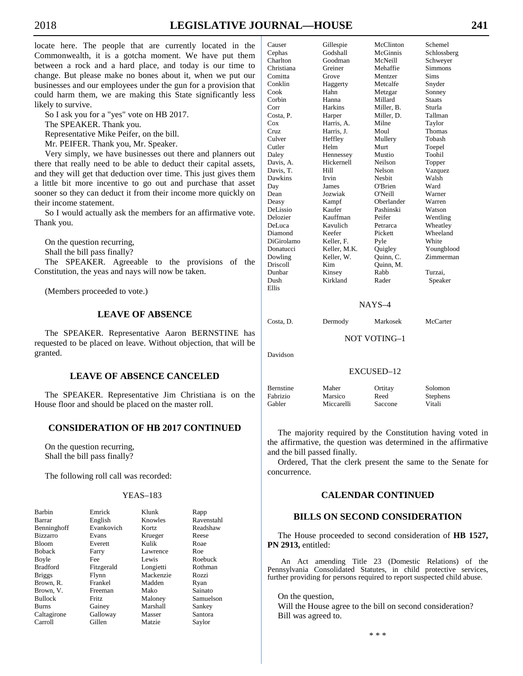locate here. The people that are currently located in the Commonwealth, it is a gotcha moment. We have put them between a rock and a hard place, and today is our time to change. But please make no bones about it, when we put our businesses and our employees under the gun for a provision that could harm them, we are making this State significantly less likely to survive.

So I ask you for a "yes" vote on HB 2017.

The SPEAKER. Thank you.

Representative Mike Peifer, on the bill.

Mr. PEIFER. Thank you, Mr. Speaker.

 Very simply, we have businesses out there and planners out there that really need to be able to deduct their capital assets, and they will get that deduction over time. This just gives them a little bit more incentive to go out and purchase that asset sooner so they can deduct it from their income more quickly on their income statement.

 So I would actually ask the members for an affirmative vote. Thank you.

 On the question recurring, Shall the bill pass finally?

 The SPEAKER. Agreeable to the provisions of the Constitution, the yeas and nays will now be taken.

(Members proceeded to vote.)

# **LEAVE OF ABSENCE**

 The SPEAKER. Representative Aaron BERNSTINE has requested to be placed on leave. Without objection, that will be granted.

# **LEAVE OF ABSENCE CANCELED**

 The SPEAKER. Representative Jim Christiana is on the House floor and should be placed on the master roll.

# **CONSIDERATION OF HB 2017 CONTINUED**

 On the question recurring, Shall the bill pass finally?

The following roll call was recorded:

# YEAS–183

| Barbin          | Emrick     | Klunk     | Rapp       |
|-----------------|------------|-----------|------------|
| Barrar          | English    | Knowles   | Ravenstahl |
| Benninghoff     | Evankovich | Kortz     | Readshaw   |
| <b>Bizzarro</b> | Evans      | Krueger   | Reese      |
| <b>Bloom</b>    | Everett    | Kulik     | Roae       |
| <b>Boback</b>   | Farry      | Lawrence  | Roe        |
| Boyle           | Fee        | Lewis     | Roebuck    |
| <b>Bradford</b> | Fitzgerald | Longietti | Rothman    |
| <b>Briggs</b>   | Flynn      | Mackenzie | Rozzi      |
| Brown, R.       | Frankel    | Madden    | Ryan       |
| Brown, V.       | Freeman    | Mako      | Sainato    |
| <b>Bullock</b>  | Fritz      | Maloney   | Samuelson  |
| Burns           | Gainey     | Marshall  | Sankey     |
| Caltagirone     | Galloway   | Masser    | Santora    |
| Carroll         | Gillen     | Matzie    | Saylor     |

| Causer     | Gillespie    | McClinton     | Schemel        |
|------------|--------------|---------------|----------------|
| Cephas     | Godshall     | McGinnis      | Schlossberg    |
| Charlton   | Goodman      | McNeill       | Schweyer       |
| Christiana | Greiner      | Mehaffie      | <b>Simmons</b> |
| Comitta    | Grove        | Mentzer       | <b>Sims</b>    |
| Conklin    | Haggerty     | Metcalfe      | Snyder         |
| Cook       | Hahn         | Metzgar       | Sonney         |
| Corbin     | Hanna        | Millard       | <b>Staats</b>  |
| Corr       | Harkins      | Miller, B.    | Sturla         |
| Costa, P.  | Harper       | Miller, D.    | Tallman        |
| Cox        | Harris, A.   | Milne         | Taylor         |
| Cruz.      | Harris, J.   | Moul          | Thomas         |
| Culver     | Heffley      | Mullery       | Tobash         |
| Cutler     | Helm         | Murt          | Toepel         |
| Daley      | Hennessey    | Mustio        | Toohil         |
| Davis, A.  | Hickernell   | Neilson       | Topper         |
| Davis, T.  | Hill         | Nelson        | Vazquez        |
| Dawkins    | Irvin        | <b>Nesbit</b> | Walsh          |
| Day        | James        | O'Brien       | Ward           |
| Dean       | Jozwiak      | O'Neill       | Warner         |
| Deasy      | Kampf        | Oberlander    | Warren         |
| DeLissio   | Kaufer       | Pashinski     | Watson         |
| Delozier   | Kauffman     | Peifer        | Wentling       |
| DeLuca     | Kavulich     | Petrarca      | Wheatley       |
| Diamond    | Keefer       | Pickett       | Wheeland       |
| DiGirolamo | Keller, F.   | Pyle          | White          |
| Donatucci  | Keller, M.K. | Quigley       | Youngblood     |
| Dowling    | Keller, W.   | Quinn, C.     | Zimmerman      |
| Driscoll   | Kim          | Quinn, M.     |                |
| Dunbar     | Kinsey       | Rabb          | Turzai,        |
| Dush       | Kirkland     | Rader         | Speaker        |
| Ellis      |              |               |                |
|            |              |               |                |

# NAYS–4

Costa, D. Dermody Markosek McCarter

NOT VOTING–1

Davidson

# EXCUSED–12

Bernstine Maher Ortitay Solomon Fabrizio Marsico Reed Stephens Gabler Miccarelli Saccone Vitali

 The majority required by the Constitution having voted in the affirmative, the question was determined in the affirmative and the bill passed finally.

 Ordered, That the clerk present the same to the Senate for concurrence.

# **CALENDAR CONTINUED**

# **BILLS ON SECOND CONSIDERATION**

 The House proceeded to second consideration of **HB 1527, PN 2913,** entitled:

An Act amending Title 23 (Domestic Relations) of the Pennsylvania Consolidated Statutes, in child protective services, further providing for persons required to report suspected child abuse.

 On the question, Will the House agree to the bill on second consideration? Bill was agreed to.

\* \* \*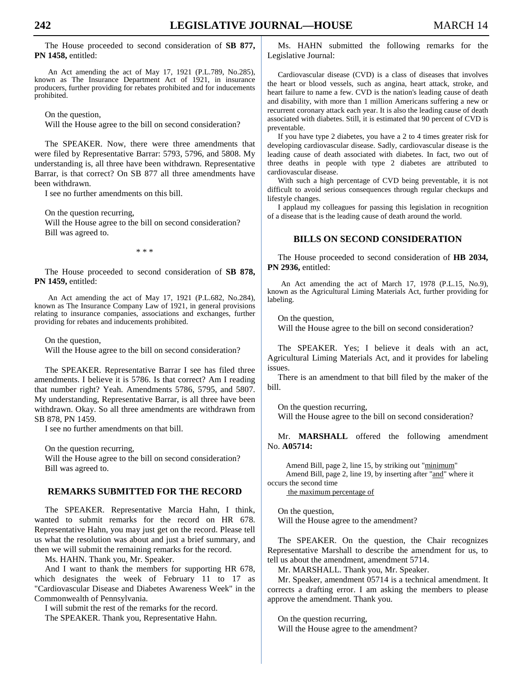The House proceeded to second consideration of **SB 877, PN 1458,** entitled:

An Act amending the act of May 17, 1921 (P.L.789, No.285), known as The Insurance Department Act of 1921, in insurance producers, further providing for rebates prohibited and for inducements prohibited.

On the question,

Will the House agree to the bill on second consideration?

 The SPEAKER. Now, there were three amendments that were filed by Representative Barrar: 5793, 5796, and 5808. My understanding is, all three have been withdrawn. Representative Barrar, is that correct? On SB 877 all three amendments have been withdrawn.

I see no further amendments on this bill.

On the question recurring,

 Will the House agree to the bill on second consideration? Bill was agreed to.

\* \* \*

 The House proceeded to second consideration of **SB 878, PN 1459,** entitled:

An Act amending the act of May 17, 1921 (P.L.682, No.284), known as The Insurance Company Law of 1921, in general provisions relating to insurance companies, associations and exchanges, further providing for rebates and inducements prohibited.

On the question,

Will the House agree to the bill on second consideration?

 The SPEAKER. Representative Barrar I see has filed three amendments. I believe it is 5786. Is that correct? Am I reading that number right? Yeah. Amendments 5786, 5795, and 5807. My understanding, Representative Barrar, is all three have been withdrawn. Okay. So all three amendments are withdrawn from SB 878, PN 1459.

I see no further amendments on that bill.

 On the question recurring, Will the House agree to the bill on second consideration? Bill was agreed to.

# **REMARKS SUBMITTED FOR THE RECORD**

 The SPEAKER. Representative Marcia Hahn, I think, wanted to submit remarks for the record on HR 678. Representative Hahn, you may just get on the record. Please tell us what the resolution was about and just a brief summary, and then we will submit the remaining remarks for the record.

Ms. HAHN. Thank you, Mr. Speaker.

 And I want to thank the members for supporting HR 678, which designates the week of February 11 to 17 as "Cardiovascular Disease and Diabetes Awareness Week" in the Commonwealth of Pennsylvania.

 I will submit the rest of the remarks for the record. The SPEAKER. Thank you, Representative Hahn.

 Ms. HAHN submitted the following remarks for the Legislative Journal:

 Cardiovascular disease (CVD) is a class of diseases that involves the heart or blood vessels, such as angina, heart attack, stroke, and heart failure to name a few. CVD is the nation's leading cause of death and disability, with more than 1 million Americans suffering a new or recurrent coronary attack each year. It is also the leading cause of death associated with diabetes. Still, it is estimated that 90 percent of CVD is preventable.

 If you have type 2 diabetes, you have a 2 to 4 times greater risk for developing cardiovascular disease. Sadly, cardiovascular disease is the leading cause of death associated with diabetes. In fact, two out of three deaths in people with type 2 diabetes are attributed to cardiovascular disease.

 With such a high percentage of CVD being preventable, it is not difficult to avoid serious consequences through regular checkups and lifestyle changes.

 I applaud my colleagues for passing this legislation in recognition of a disease that is the leading cause of death around the world.

# **BILLS ON SECOND CONSIDERATION**

 The House proceeded to second consideration of **HB 2034, PN 2936,** entitled:

An Act amending the act of March 17, 1978 (P.L.15, No.9), known as the Agricultural Liming Materials Act, further providing for labeling.

On the question,

Will the House agree to the bill on second consideration?

 The SPEAKER. Yes; I believe it deals with an act, Agricultural Liming Materials Act, and it provides for labeling issues.

 There is an amendment to that bill filed by the maker of the bill.

 On the question recurring, Will the House agree to the bill on second consideration?

 Mr. **MARSHALL** offered the following amendment No. **A05714:**

Amend Bill, page 2, line 15, by striking out "minimum" Amend Bill, page 2, line 19, by inserting after "and" where it occurs the second time

the maximum percentage of

 On the question, Will the House agree to the amendment?

 The SPEAKER. On the question, the Chair recognizes Representative Marshall to describe the amendment for us, to tell us about the amendment, amendment 5714.

Mr. MARSHALL. Thank you, Mr. Speaker.

 Mr. Speaker, amendment 05714 is a technical amendment. It corrects a drafting error. I am asking the members to please approve the amendment. Thank you.

 On the question recurring, Will the House agree to the amendment?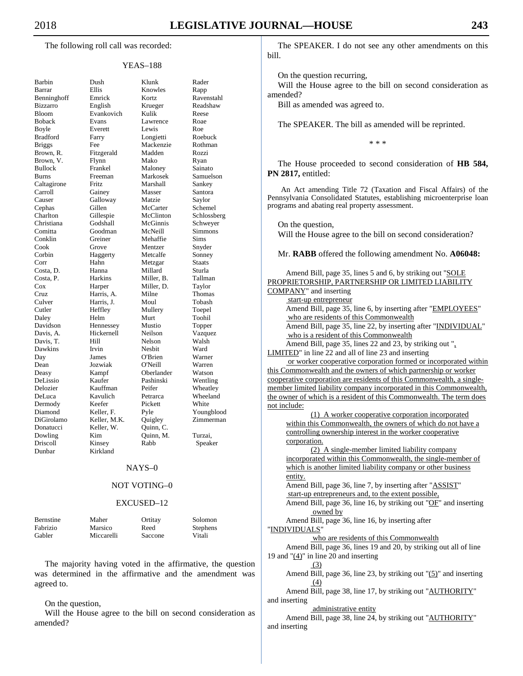The following roll call was recorded:

# YEAS–188

| Barbin          | Dush       |
|-----------------|------------|
| Barrar          | Ellis      |
| Benninghoff     | Emrick     |
| <b>Bizzarro</b> | English    |
| <b>Bloom</b>    | Evankovi   |
| <b>Boback</b>   | Evans      |
| Boyle           | Everett    |
| <b>Bradford</b> | Farry      |
| <b>Briggs</b>   | Fee        |
| Brown, R.       | Fitzgerald |
|                 |            |
| Brown, V.       | Flynn      |
| <b>Bullock</b>  | Frankel    |
| <b>Burns</b>    | Freeman    |
| Caltagirone     | Fritz      |
| Carroll         | Gainey     |
| Causer          | Galloway   |
| Cephas          | Gillen     |
| Charlton        | Gillespie  |
| Christiana      | Godshall   |
| Comitta         | Goodman    |
| Conklin         | Greiner    |
| Cook            | Grove      |
| Corbin          | Haggerty   |
| Corr            | Hahn       |
| Costa, D.       | Hanna      |
| Costa, P.       | Harkins    |
| Cox             | Harper     |
| Cruz            | Harris, A  |
| Culver          |            |
|                 | Harris, J. |
| Cutler          | Heffley    |
| Daley           | Helm       |
| Davidson        | Hennesse   |
| Davis, A.       | Hickernel  |
| Davis, T.       | Hill       |
| Dawkins         | Irvin      |
| Day             | James      |
| Dean            | Jozwiak    |
| Deasy           | Kampf      |
| DeLissio        | Kaufer     |
| Delozier        | Kauffmar   |
| DeLuca          | Kavulich   |
| Dermody         | Keefer     |
| Diamond         | Keller, F. |
| DiGirolamo      | Keller, M  |
| Donatucci       | Keller, W  |
| Dowling         | Kim        |
| Driscoll        | Kinsey     |
| Dunbar          | Kirkland   |
|                 |            |
|                 |            |

| Barbin          | Dush         | Klunk      | Rader         |
|-----------------|--------------|------------|---------------|
| Barrar          | Ellis        | Knowles    | Rapp          |
| Benninghoff     | Emrick       | Kortz      | Ravenstahl    |
| Bizzarro        | English      | Krueger    | Readshaw      |
| Bloom           | Evankovich   | Kulik      | Reese         |
| Boback          | Evans        | Lawrence   | Roae          |
| Boyle           | Everett      | Lewis      | Roe           |
| <b>Bradford</b> | Farry        | Longietti  | Roebuck       |
| Briggs          | Fee          | Mackenzie  | Rothman       |
| Brown, R.       | Fitzgerald   | Madden     | Rozzi         |
| Brown, V.       | Flynn        | Mako       | Ryan          |
| <b>Bullock</b>  | Frankel      | Maloney    | Sainato       |
| Burns           | Freeman      | Markosek   | Samuelson     |
| Caltagirone     | Fritz        | Marshall   | Sankey        |
| Carroll         | Gainey       | Masser     | Santora       |
| Causer          | Galloway     | Matzie     | Saylor        |
| Cephas          | Gillen       | McCarter   | Schemel       |
| Charlton        | Gillespie    | McClinton  | Schlossberg   |
| Christiana      | Godshall     | McGinnis   | Schweyer      |
| Comitta         | Goodman      | McNeill    | Simmons       |
| Conklin         | Greiner      | Mehaffie   | Sims          |
| Cook            | Grove        | Mentzer    | Snyder        |
| Corbin          | Haggerty     | Metcalfe   | Sonney        |
| Corr            | Hahn         | Metzgar    | <b>Staats</b> |
| Costa, D.       | Hanna        | Millard    | Sturla        |
| Costa, P.       | Harkins      | Miller, B. | Tallman       |
| Cox             | Harper       | Miller, D. | Taylor        |
| Cruz            | Harris, A.   | Milne      | Thomas        |
| Culver          | Harris, J.   | Moul       | Tobash        |
| Cutler          | Heffley      | Mullery    | Toepel        |
| Daley           | Helm         | Murt       | Toohil        |
| Davidson        | Hennessey    | Mustio     | Topper        |
| Davis, A.       | Hickernell   | Neilson    | Vazquez       |
| Davis, T.       | Hill         | Nelson     | Walsh         |
| Dawkins         | Irvin        | Nesbit     | Ward          |
| Day             | James        | O'Brien    | Warner        |
| Dean            | Jozwiak      | O'Neill    | Warren        |
| Deasy           | Kampf        | Oberlander | Watson        |
| DeLissio        | Kaufer       | Pashinski  | Wentling      |
| Delozier        | Kauffman     | Peifer     | Wheatley      |
| DeLuca          | Kavulich     | Petrarca   | Wheeland      |
| Dermody         | Keefer       | Pickett    | White         |
| Diamond         | Keller, F.   | Pyle       | Youngblood    |
| DiGirolamo      | Keller, M.K. | Quigley    | Zimmerman     |
| Donatucci       | Keller, W.   | Quinn, C.  |               |
| Dowling         | Kim          | Quinn, M.  | Turzai,       |
| Driscoll        | Kinsey       | Rabb       | Speaker       |
| Dunbar          | Kirkland     |            |               |

### NAYS–0

# NOT VOTING–0

## EXCUSED–12

| Bernstine | Maher      | Ortitay | Solomon  |
|-----------|------------|---------|----------|
| Fabrizio  | Marsico    | Reed    | Stephens |
| Gabler    | Miccarelli | Saccone | Vitali   |

 The majority having voted in the affirmative, the question was determined in the affirmative and the amendment was agreed to.

### On the question,

 Will the House agree to the bill on second consideration as amended?

 The SPEAKER. I do not see any other amendments on this bill.

On the question recurring,

 Will the House agree to the bill on second consideration as amended?

Bill as amended was agreed to.

The SPEAKER. The bill as amended will be reprinted.

\* \* \*

 The House proceeded to second consideration of **HB 584, PN 2817,** entitled:

An Act amending Title 72 (Taxation and Fiscal Affairs) of the Pennsylvania Consolidated Statutes, establishing microenterprise loan programs and abating real property assessment.

On the question,

Will the House agree to the bill on second consideration?

Mr. **RABB** offered the following amendment No. **A06048:**

| Amend Bill, page 35, lines 5 and 6, by striking out "SOLE             |
|-----------------------------------------------------------------------|
| PROPRIETORSHIP, PARTNERSHIP OR LIMITED LIABILITY                      |
| COMPANY" and inserting                                                |
| start-up entrepreneur                                                 |
| Amend Bill, page 35, line 6, by inserting after "EMPLOYEES"           |
| who are residents of this Commonwealth                                |
| Amend Bill, page 35, line 22, by inserting after "INDIVIDUAL"         |
| who is a resident of this Commonwealth                                |
| Amend Bill, page 35, lines 22 and 23, by striking out ".              |
| LIMITED" in line 22 and all of line 23 and inserting                  |
| or worker cooperative corporation formed or incorporated within       |
| this Commonwealth and the owners of which partnership or worker       |
| cooperative corporation are residents of this Commonwealth, a single- |
| member limited liability company incorporated in this Commonwealth,   |
| the owner of which is a resident of this Commonwealth. The term does  |
| not include:                                                          |
| (1) A worker cooperative corporation incorporated                     |
| within this Commonwealth, the owners of which do not have a           |
| controlling ownership interest in the worker cooperative              |
| corporation.                                                          |
| (2) A single-member limited liability company                         |
| incorporated within this Commonwealth, the single-member of           |
| which is another limited liability company or other business          |
| entity.                                                               |
| Amend Bill, page 36, line 7, by inserting after "ASSIST"              |
| start-up entrepreneurs and, to the extent possible,                   |
| Amend Bill, page 36, line 16, by striking out "OF" and inserting      |
| owned by                                                              |
| Amend Bill, page 36, line 16, by inserting after                      |
| "INDIVIDUALS"                                                         |
| who are residents of this Commonwealth                                |
| Amend Bill, page 36, lines 19 and 20, by striking out all of line     |
| 19 and $\frac{1}{2}$ in line 20 and inserting                         |
| (3)                                                                   |
| Amend Bill, page 36, line 23, by striking out "(5)" and inserting     |
| (4)                                                                   |
| Amend Bill, page 38, line 17, by striking out "AUTHORITY"             |
| and inserting                                                         |
| administrative entity                                                 |
| Amend Bill, page 38, line 24, by striking out "AUTHORITY"             |
| and inserting                                                         |
|                                                                       |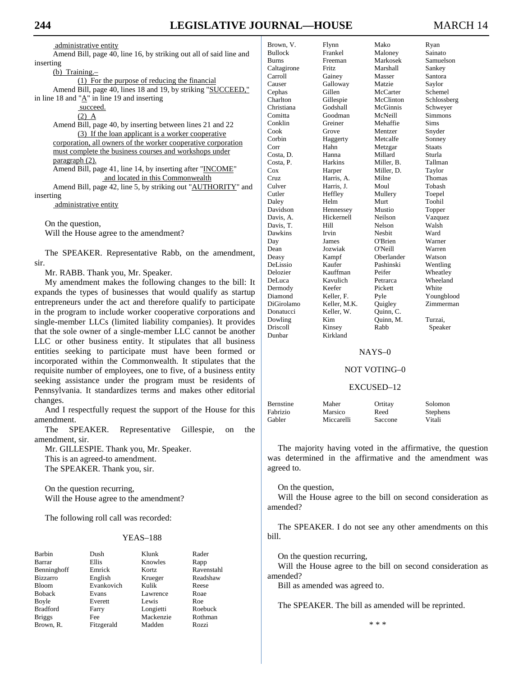administrative entity

Amend Bill, page 40, line 16, by striking out all of said line and inserting

| (b) Training.– |  |  |
|----------------|--|--|
|                |  |  |

(1) For the purpose of reducing the financial

Amend Bill, page 40, lines 18 and 19, by striking "SUCCEED," in line 18 and " $\underline{A}$ " in line 19 and inserting

succeed.

 $(2)$  A

Amend Bill, page 40, by inserting between lines 21 and 22 (3) If the loan applicant is a worker cooperative corporation, all owners of the worker cooperative corporation must complete the business courses and workshops under paragraph (2).

Amend Bill, page 41, line 14, by inserting after "INCOME" and located in this Commonwealth

Amend Bill, page 42, line 5, by striking out "AUTHORITY" and inserting

administrative entity

On the question,

Will the House agree to the amendment?

 The SPEAKER. Representative Rabb, on the amendment, sir.

Mr. RABB. Thank you, Mr. Speaker.

 My amendment makes the following changes to the bill: It expands the types of businesses that would qualify as startup entrepreneurs under the act and therefore qualify to participate in the program to include worker cooperative corporations and single-member LLCs (limited liability companies). It provides that the sole owner of a single-member LLC cannot be another LLC or other business entity. It stipulates that all business entities seeking to participate must have been formed or incorporated within the Commonwealth. It stipulates that the requisite number of employees, one to five, of a business entity seeking assistance under the program must be residents of Pennsylvania. It standardizes terms and makes other editorial changes.

 And I respectfully request the support of the House for this amendment.

 The SPEAKER. Representative Gillespie, on the amendment, sir.

 Mr. GILLESPIE. Thank you, Mr. Speaker. This is an agreed-to amendment. The SPEAKER. Thank you, sir.

 On the question recurring, Will the House agree to the amendment?

The following roll call was recorded:

# YEAS–188

| Barbin          | Dush       | Klunk     | Rader    |
|-----------------|------------|-----------|----------|
| Barrar          | Ellis      | Knowles   | Rapp     |
| Benninghoff     | Emrick     | Kortz     | Ravensta |
| <b>Bizzarro</b> | English    | Krueger   | Readshav |
| <b>Bloom</b>    | Evankovich | Kulik     | Reese    |
| <b>Boback</b>   | Evans      | Lawrence  | Roae     |
| Boyle           | Everett    | Lewis     | Roe      |
| <b>Bradford</b> | Farry      | Longietti | Roebuck  |
| <b>Briggs</b>   | Fee        | Mackenzie | Rothman  |
| Brown R         | Fitzgerald | Madden    | Rozzi    |

| <u> ~ นเ⊍นเ</u> | ້ານ ແນ⊥    | .         | ------     |
|-----------------|------------|-----------|------------|
| Barrar          | Ellis      | Knowles   | Rapp       |
| Benninghoff     | Emrick     | Kortz     | Ravenstahl |
| Bizzarro        | English    | Krueger   | Readshaw   |
| Bloom           | Evankovich | Kulik     | Reese      |
| Boback          | Evans      | Lawrence  | Roae       |
| Boyle           | Everett    | Lewis     | Roe        |
| <b>Bradford</b> | Farry      | Longietti | Roebuck    |

Fee Mackenzie Fitzgerald Madden

| Rader      |
|------------|
| Rapp       |
| Ravenstahl |
| Readshaw   |
| Reese      |
| Roae       |
| Roe        |
| Roebuck    |
| Rothman    |
| Rozzi      |

| Brown, V.      | Flynn        | Mako          | Ryan          |
|----------------|--------------|---------------|---------------|
| <b>Bullock</b> | Frankel      | Maloney       | Sainato       |
| Burns          | Freeman      | Markosek      | Samuelson     |
| Caltagirone    | <b>Fritz</b> | Marshall      | Sankey        |
| Carroll        | Gainey       | Masser        | Santora       |
| Causer         | Galloway     | Matzie        | Saylor        |
| Cephas         | Gillen       | McCarter      | Schemel       |
| Charlton       | Gillespie    | McClinton     | Schlossberg   |
| Christiana     | Godshall     | McGinnis      | Schweyer      |
| Comitta        | Goodman      | McNeill       | Simmons       |
| Conklin        | Greiner      | Mehaffie      | Sims          |
| Cook           | Grove        | Mentzer       | Snyder        |
| Corbin         | Haggerty     | Metcalfe      | Sonney        |
| Corr           | Hahn         | Metzgar       | <b>Staats</b> |
| Costa, D.      | Hanna        | Millard       | Sturla        |
| Costa, P.      | Harkins      | Miller, B.    | Tallman       |
| $\cos$         | Harper       | Miller, D.    | Taylor        |
| Cruz           | Harris, A.   | Milne         | Thomas        |
| Culver         | Harris, J.   | Moul          | Tobash        |
| Cutler         | Heffley      | Mullery       | Toepel        |
| Daley          | Helm         | Murt          | Toohil        |
| Davidson       | Hennessey    | Mustio        | Topper        |
| Davis, A.      | Hickernell   | Neilson       | Vazquez       |
| Davis. T.      | Hill         | Nelson        | Walsh         |
| Dawkins        | Irvin        | <b>Nesbit</b> | Ward          |
| Day            | James        | O'Brien       | Warner        |
| Dean           | Jozwiak      | O'Neill       | Warren        |
| Deasy          | Kampf        | Oberlander    | Watson        |
| DeLissio       | Kaufer       | Pashinski     | Wentling      |
| Delozier       | Kauffman     | Peifer        | Wheatley      |
| DeLuca         | Kavulich     | Petrarca      | Wheeland      |
| Dermody        | Keefer       | Pickett       | White         |
| Diamond        | Keller, F.   | Pyle          | Youngblood    |
| DiGirolamo     | Keller, M.K. | Quigley       | Zimmerman     |
| Donatucci      | Keller, W.   | Quinn, C.     |               |
| Dowling        | Kim          | Quinn, M.     | Turzai,       |
| Driscoll       | Kinsey       | Rabb          | Speaker       |
| Dunbar         | Kirkland     |               |               |

## NAYS–0

## NOT VOTING–0

## EXCUSED–12

| <b>Bernstine</b> | Maher      | Ortitay | Solomon         |
|------------------|------------|---------|-----------------|
| Fabrizio         | Marsico    | Reed    | <b>Stephens</b> |
| Gabler           | Miccarelli | Saccone | Vitali          |

 The majority having voted in the affirmative, the question was determined in the affirmative and the amendment was agreed to.

On the question,

 Will the House agree to the bill on second consideration as amended?

 The SPEAKER. I do not see any other amendments on this bill.

On the question recurring,

 Will the House agree to the bill on second consideration as amended?

Bill as amended was agreed to.

The SPEAKER. The bill as amended will be reprinted.

\* \* \*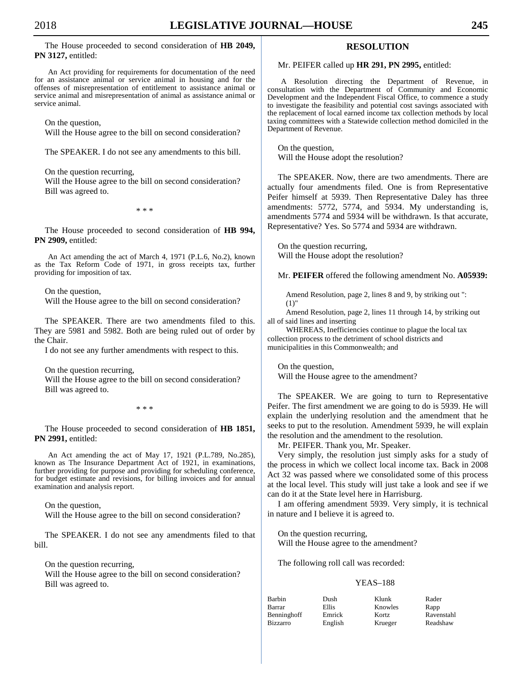The House proceeded to second consideration of **HB 2049, PN 3127,** entitled:

An Act providing for requirements for documentation of the need for an assistance animal or service animal in housing and for the offenses of misrepresentation of entitlement to assistance animal or service animal and misrepresentation of animal as assistance animal or service animal.

On the question,

Will the House agree to the bill on second consideration?

The SPEAKER. I do not see any amendments to this bill.

On the question recurring,

 Will the House agree to the bill on second consideration? Bill was agreed to.

\* \* \*

 The House proceeded to second consideration of **HB 994, PN 2909,** entitled:

An Act amending the act of March 4, 1971 (P.L.6, No.2), known as the Tax Reform Code of 1971, in gross receipts tax, further providing for imposition of tax.

On the question,

Will the House agree to the bill on second consideration?

 The SPEAKER. There are two amendments filed to this. They are 5981 and 5982. Both are being ruled out of order by the Chair.

I do not see any further amendments with respect to this.

On the question recurring,

 Will the House agree to the bill on second consideration? Bill was agreed to.

\* \* \*

 The House proceeded to second consideration of **HB 1851, PN 2991,** entitled:

An Act amending the act of May 17, 1921 (P.L.789, No.285), known as The Insurance Department Act of 1921, in examinations, further providing for purpose and providing for scheduling conference, for budget estimate and revisions, for billing invoices and for annual examination and analysis report.

 On the question, Will the House agree to the bill on second consideration?

 The SPEAKER. I do not see any amendments filed to that bill.

 On the question recurring, Will the House agree to the bill on second consideration? Bill was agreed to.

# **RESOLUTION**

Mr. PEIFER called up **HR 291, PN 2995,** entitled:

A Resolution directing the Department of Revenue, in consultation with the Department of Community and Economic Development and the Independent Fiscal Office, to commence a study to investigate the feasibility and potential cost savings associated with the replacement of local earned income tax collection methods by local taxing committees with a Statewide collection method domiciled in the Department of Revenue.

 On the question, Will the House adopt the resolution?

 The SPEAKER. Now, there are two amendments. There are actually four amendments filed. One is from Representative Peifer himself at 5939. Then Representative Daley has three amendments: 5772, 5774, and 5934. My understanding is, amendments 5774 and 5934 will be withdrawn. Is that accurate, Representative? Yes. So 5774 and 5934 are withdrawn.

 On the question recurring, Will the House adopt the resolution?

Mr. **PEIFER** offered the following amendment No. **A05939:**

Amend Resolution, page 2, lines 8 and 9, by striking out ": (1)"

Amend Resolution, page 2, lines 11 through 14, by striking out all of said lines and inserting

WHEREAS, Inefficiencies continue to plague the local tax collection process to the detriment of school districts and municipalities in this Commonwealth; and

 On the question, Will the House agree to the amendment?

 The SPEAKER. We are going to turn to Representative Peifer. The first amendment we are going to do is 5939. He will explain the underlying resolution and the amendment that he seeks to put to the resolution. Amendment 5939, he will explain the resolution and the amendment to the resolution.

Mr. PEIFER. Thank you, Mr. Speaker.

 Very simply, the resolution just simply asks for a study of the process in which we collect local income tax. Back in 2008 Act 32 was passed where we consolidated some of this process at the local level. This study will just take a look and see if we can do it at the State level here in Harrisburg.

 I am offering amendment 5939. Very simply, it is technical in nature and I believe it is agreed to.

 On the question recurring, Will the House agree to the amendment?

The following roll call was recorded:

# YEAS–188

| Barbin      | Dush    | Klunk   | Rader      |
|-------------|---------|---------|------------|
| Barrar      | Ellis   | Knowles | Rapp       |
| Benninghoff | Emrick  | Kortz   | Ravenstahl |
| Bizzarro    | English | Krueger | Readshaw   |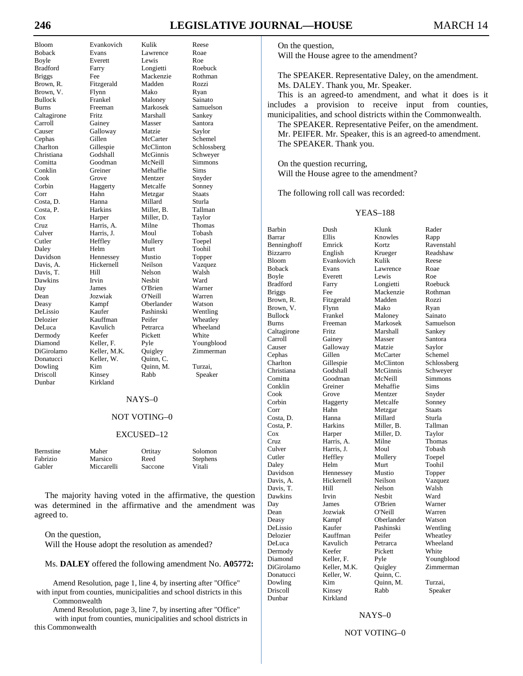# **246 LEGISLATIVE JOURNAL—HOUSE** MARCH 14

Davis, T. Donatucci Keller, W. Dunbar Kirkland

Bloom Evankovich Kulik Reese Boback Evans Lawrence Roae<br>Boyle Everett Lewis Roe Boyle Everett Lewis Roe<br>
Bradford Farry Longietti Roebuck Farry Longietti Briggs Fee Mackenzie Rothman<br>Brown R. Fitzgerald Madden Rozzi Fitzgerald Madden Rozzi Brown, V. Flynn Mako Ryan Bullock Frankel Maloney Sainato Burns Freeman Markosek Samuelson Caltagirone Fritz Marshall Sankey Carroll Gainey Masser Santora Galloway Cephas Gillen McCarter Schemel<br>Charlton Gillespie McClinton Schlossb Gillespie McClinton Schlossberg<br>Godshall McGinnis Schwever Christiana Godshall McGinnis Schweyer Comitta Goodman McNeill Simmons Conklin Greiner Mehaffie Sims Mentzer Corbin Haggerty Metcalfe Sonney Corr Hahn Metzgar Staats Costa, D. Hanna Millard Sturla Miller, B. Cox Harper Miller, D. Taylor Cruz Harris, A. Milne Thomas Culver Harris, J. Moul Tobash Cutler Heffley Mullery Toepel Daley Helm Murt Toohil Davidson Hennessey Mustio Topper Davis, A. Hickernell Neilson Vazquez<br>
Davis, T. Hill Nelson Walsh Dawkins Irvin Nesbit Ward Day James O'Brien Warner Dean Jozwiak O'Neill Warren Deasy Kampf Oberlander Watson DeLissio Kaufer Pashinski Wentling Delozier Kauffman Peifer Wheatley Dermody Keefer Pickett White<br>
Diamond Keller, F. Pyle Young Diamond Keller, F. Pyle Youngblood<br>DiGirolamo Keller, M.K. Quigley Zimmerman Keller, M.K. Quigley<br>Keller, W. Quinn, C. Dowling Kim Quinn, M. Turzai,<br>
Driscoll Kinsev Rabb Speak

## NAYS–0

Wheeland

Speaker

## NOT VOTING–0

### EXCUSED–12

| Bernstine | Maher      | Ortitay | Solomon  |
|-----------|------------|---------|----------|
| Fabrizio  | Marsico    | Reed    | Stephens |
| Gabler    | Miccarelli | Saccone | Vitali   |

 The majority having voted in the affirmative, the question was determined in the affirmative and the amendment was agreed to.

 On the question, Will the House adopt the resolution as amended?

# Ms. **DALEY** offered the following amendment No. **A05772:**

Amend Resolution, page 1, line 4, by inserting after "Office" with input from counties, municipalities and school districts in this Commonwealth

Amend Resolution, page 3, line 7, by inserting after "Office" with input from counties, municipalities and school districts in this Commonwealth

 On the question, Will the House agree to the amendment?

 The SPEAKER. Representative Daley, on the amendment. Ms. DALEY. Thank you, Mr. Speaker.

 This is an agreed-to amendment, and what it does is it includes a provision to receive input from counties, municipalities, and school districts within the Commonwealth.

 The SPEAKER. Representative Peifer, on the amendment. Mr. PEIFER. Mr. Speaker, this is an agreed-to amendment. The SPEAKER. Thank you.

 On the question recurring, Will the House agree to the amendment?

The following roll call was recorded:

# YEAS–188

Barbin Dush Klunk Rader Barrar Ellis Knowles Rapp Benninghoff Emrick Kortz Ravenstahl Krueger Readshaw Bloom Evankovich Kulik Reese Lawrence Boyle Everett Lewis Roe Bradford Farry Longietti Roebuck Briggs Fee Mackenzie Rothman<br>Brown, R. Fitzgerald Madden Rozzi Fitzgerald Brown, V. Flynn Mako Ryan Bullock Frankel Maloney Sainato Burns Freeman Markosek Samuelson Caltagirone Fritz Marshall Sankey Carroll Gainey Masser Santora Causer Galloway Matzie Saylor Cephas Gillen McCarter Schemel<br>Charlton Gillespie McClinton Schlossb Christiana Godshall McGinnis Schweyer Comitta Goodman McNeill Simmons Conklin Greiner Mehaffie Sims Grove Mentzer Snyder Corbin Haggerty Metcalfe Sonney<br>
Corr Hahn Metzgar Staats Corr Hahn Metzgar Staats Costa, D. Hanna Millard Costa, P. Harkins Miller, B. Tallman Cox Harper Miller, D. Taylor<br>Cruz Harris, A. Milne Thomas Cruz Harris, A. Milne Thomas Culver Harris, J. Moul Tobash Cutler Heffley Mullery Toepel Daley Helm Murt Toohil Davidson Hennessey Mustio Topper Hickernell Neilson Vazquez Davis, T. Hill Nelson Walsh Dawkins Irvin Nesbit Ward Day James O'Brien Warner Dean Jozwiak O'Neill Warren Deasy Kampf Oberlander Watson<br>
DeLissio Kaufer Pashinski Wentling Pashinski Delozier Kauffman Peifer Wheatley Dermody Keefer Pickett White<br>Diamond Keller, F. Pyle Young Pyle Youngblood DiGirolamo Keller, M.K. Quigley Zimmerman Donatucci Keller, W. Quinn, C. Dowling Kim Quinn, M. Turzai,<br>
Driscoll Kinsey Rabb Speak Dunbar Kirkland

Schlossberg Wheeland Speaker

# NAYS–0

## NOT VOTING–0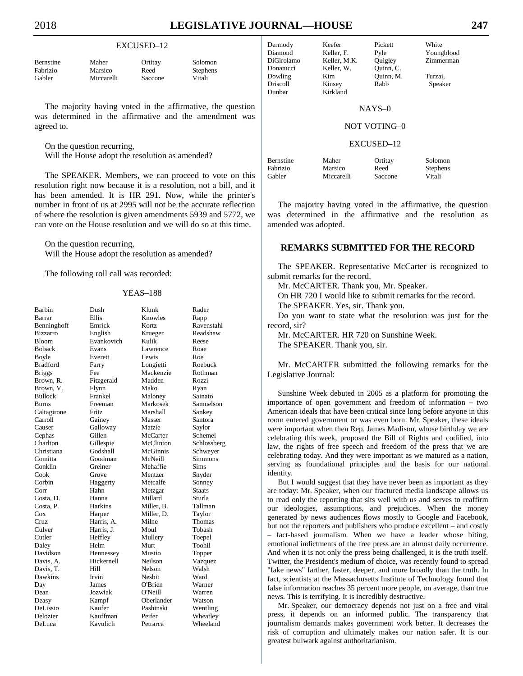Solomon Stephens

## EXCUSED–12

| <b>Bernstine</b> | Maher      | Ortitay | Solon  |
|------------------|------------|---------|--------|
| Fabrizio         | Marsico    | Reed    | Steph  |
| Gabler           | Miccarelli | Saccone | Vitali |

 The majority having voted in the affirmative, the question was determined in the affirmative and the amendment was agreed to.

On the question recurring,

Will the House adopt the resolution as amended?

 The SPEAKER. Members, we can proceed to vote on this resolution right now because it is a resolution, not a bill, and it has been amended. It is HR 291. Now, while the printer's number in front of us at 2995 will not be the accurate reflection of where the resolution is given amendments 5939 and 5772, we can vote on the House resolution and we will do so at this time.

 On the question recurring, Will the House adopt the resolution as amended?

The following roll call was recorded:

## YEAS–188

| Barbin        | Dush       | Klunk      | Rader         |
|---------------|------------|------------|---------------|
| Barrar        | Ellis      | Knowles    | Rapp          |
| Benninghoff   | Emrick     | Kortz      | Ravenstahl    |
| Bizzarro      | English    | Krueger    | Readshaw      |
| Bloom         | Evankovich | Kulik      | Reese         |
| Boback        | Evans      | Lawrence   | Roae          |
| Boyle         | Everett    | Lewis      | Roe           |
| Bradford      | Farry      | Longietti  | Roebuck       |
| <b>Briggs</b> | Fee        | Mackenzie  | Rothman       |
| Brown, R.     | Fitzgerald | Madden     | Rozzi         |
| Brown, V.     | Flynn      | Mako       | Ryan          |
| Bullock       | Frankel    | Maloney    | Sainato       |
| Burns         | Freeman    | Markosek   | Samuelson     |
| Caltagirone   | Fritz      | Marshall   | Sankey        |
| Carroll       | Gainey     | Masser     | Santora       |
| Causer        | Galloway   | Matzie     | Saylor        |
| Cephas        | Gillen     | McCarter   | Schemel       |
| Charlton      | Gillespie  | McClinton  | Schlossberg   |
| Christiana    | Godshall   | McGinnis   | Schweyer      |
| Comitta       | Goodman    | McNeill    | Simmons       |
| Conklin       | Greiner    | Mehaffie   | Sims          |
| Cook          | Grove      | Mentzer    | Snyder        |
| Corbin        | Haggerty   | Metcalfe   | Sonney        |
| Corr          | Hahn       | Metzgar    | <b>Staats</b> |
| Costa, D.     | Hanna      | Millard    | Sturla        |
| Costa, P.     | Harkins    | Miller, B. | Tallman       |
| Cox           | Harper     | Miller, D. | Taylor        |
| Cruz          | Harris, A. | Milne      | Thomas        |
| Culver        | Harris, J. | Moul       | Tobash        |
| Cutler        | Heffley    | Mullery    | Toepel        |
| Daley         | Helm       | Murt       | Toohil        |
| Davidson      | Hennessey  | Mustio     | Topper        |
| Davis, A.     | Hickernell | Neilson    | Vazquez       |
| Davis, T.     | Hill       | Nelson     | Walsh         |
| Dawkins       | Irvin      | Nesbit     | Ward          |
| Day           | James      | O'Brien    | Warner        |
| Dean          | Jozwiak    | O'Neill    | Warren        |
| Deasy         | Kampf      | Oberlander | Watson        |
| DeLissio      | Kaufer     | Pashinski  | Wentling      |
| Delozier      | Kauffman   | Peifer     | Wheatley      |
| DeLuca        | Kavulich   | Petrarca   | Wheeland      |

Dermody Keefer Pickett White Diamond Keller, F. Pyle Youngblood<br>DiGirolamo Keller, M.K. Quigley Zimmerman DiGirolamo Keller, M.K.<br>Donatucci Keller. W.

Dowling Kim Quinn, M. Turzai,<br>
Driscoll Kinsey Rabb Speak Dunbar Kirkland

Quinn, C.

Speaker

# NAYS–0

# NOT VOTING–0

## EXCUSED–12

| <b>Bernstine</b> | Maher      | Ortitay | Solon  |
|------------------|------------|---------|--------|
| Fabrizio         | Marsico    | Reed    | Steph  |
| Gabler           | Miccarelli | Saccone | Vitali |

Ortitay Solomon Reed Stephens<br>Saccone Vitali

 The majority having voted in the affirmative, the question was determined in the affirmative and the resolution as amended was adopted.

# **REMARKS SUBMITTED FOR THE RECORD**

 The SPEAKER. Representative McCarter is recognized to submit remarks for the record.

Mr. McCARTER. Thank you, Mr. Speaker.

On HR 720 I would like to submit remarks for the record.

 The SPEAKER. Yes, sir. Thank you. Do you want to state what the resolution was just for the

record, sir?

Mr. McCARTER. HR 720 on Sunshine Week.

The SPEAKER. Thank you, sir.

 Mr. McCARTER submitted the following remarks for the Legislative Journal:

 Sunshine Week debuted in 2005 as a platform for promoting the importance of open government and freedom of information – two American ideals that have been critical since long before anyone in this room entered government or was even born. Mr. Speaker, these ideals were important when then Rep. James Madison, whose birthday we are celebrating this week, proposed the Bill of Rights and codified, into law, the rights of free speech and freedom of the press that we are celebrating today. And they were important as we matured as a nation, serving as foundational principles and the basis for our national identity.

 But I would suggest that they have never been as important as they are today: Mr. Speaker, when our fractured media landscape allows us to read only the reporting that sits well with us and serves to reaffirm our ideologies, assumptions, and prejudices. When the money generated by news audiences flows mostly to Google and Facebook, but not the reporters and publishers who produce excellent – and costly fact-based journalism. When we have a leader whose biting, emotional indictments of the free press are an almost daily occurrence. And when it is not only the press being challenged, it is the truth itself. Twitter, the President's medium of choice, was recently found to spread "fake news" farther, faster, deeper, and more broadly than the truth. In fact, scientists at the Massachusetts Institute of Technology found that false information reaches 35 percent more people, on average, than true news. This is terrifying. It is incredibly destructive.

 Mr. Speaker, our democracy depends not just on a free and vital press, it depends on an informed public. The transparency that journalism demands makes government work better. It decreases the risk of corruption and ultimately makes our nation safer. It is our greatest bulwark against authoritarianism.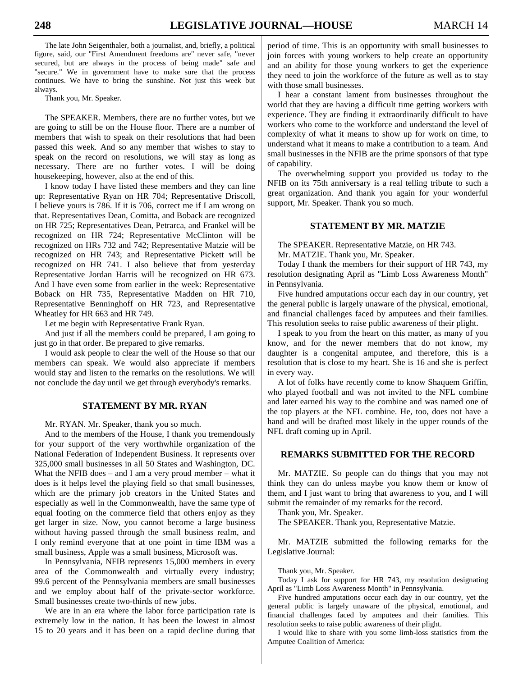The late John Seigenthaler, both a journalist, and, briefly, a political figure, said, our "First Amendment freedoms are" never safe, "never secured, but are always in the process of being made" safe and "secure." We in government have to make sure that the process continues. We have to bring the sunshine. Not just this week but always.

Thank you, Mr. Speaker.

 The SPEAKER. Members, there are no further votes, but we are going to still be on the House floor. There are a number of members that wish to speak on their resolutions that had been passed this week. And so any member that wishes to stay to speak on the record on resolutions, we will stay as long as necessary. There are no further votes. I will be doing housekeeping, however, also at the end of this.

 I know today I have listed these members and they can line up: Representative Ryan on HR 704; Representative Driscoll, I believe yours is 786. If it is 706, correct me if I am wrong on that. Representatives Dean, Comitta, and Boback are recognized on HR 725; Representatives Dean, Petrarca, and Frankel will be recognized on HR 724; Representative McClinton will be recognized on HRs 732 and 742; Representative Matzie will be recognized on HR 743; and Representative Pickett will be recognized on HR 741. I also believe that from yesterday Representative Jordan Harris will be recognized on HR 673. And I have even some from earlier in the week: Representative Boback on HR 735, Representative Madden on HR 710, Representative Benninghoff on HR 723, and Representative Wheatley for HR 663 and HR 749.

Let me begin with Representative Frank Ryan.

 And just if all the members could be prepared, I am going to just go in that order. Be prepared to give remarks.

 I would ask people to clear the well of the House so that our members can speak. We would also appreciate if members would stay and listen to the remarks on the resolutions. We will not conclude the day until we get through everybody's remarks.

# **STATEMENT BY MR. RYAN**

Mr. RYAN. Mr. Speaker, thank you so much.

 And to the members of the House, I thank you tremendously for your support of the very worthwhile organization of the National Federation of Independent Business. It represents over 325,000 small businesses in all 50 States and Washington, DC. What the NFIB does – and I am a very proud member – what it does is it helps level the playing field so that small businesses, which are the primary job creators in the United States and especially as well in the Commonwealth, have the same type of equal footing on the commerce field that others enjoy as they get larger in size. Now, you cannot become a large business without having passed through the small business realm, and I only remind everyone that at one point in time IBM was a small business, Apple was a small business, Microsoft was.

 In Pennsylvania, NFIB represents 15,000 members in every area of the Commonwealth and virtually every industry; 99.6 percent of the Pennsylvania members are small businesses and we employ about half of the private-sector workforce. Small businesses create two-thirds of new jobs.

 We are in an era where the labor force participation rate is extremely low in the nation. It has been the lowest in almost 15 to 20 years and it has been on a rapid decline during that period of time. This is an opportunity with small businesses to join forces with young workers to help create an opportunity and an ability for those young workers to get the experience they need to join the workforce of the future as well as to stay with those small businesses.

 I hear a constant lament from businesses throughout the world that they are having a difficult time getting workers with experience. They are finding it extraordinarily difficult to have workers who come to the workforce and understand the level of complexity of what it means to show up for work on time, to understand what it means to make a contribution to a team. And small businesses in the NFIB are the prime sponsors of that type of capability.

 The overwhelming support you provided us today to the NFIB on its 75th anniversary is a real telling tribute to such a great organization. And thank you again for your wonderful support, Mr. Speaker. Thank you so much.

# **STATEMENT BY MR. MATZIE**

 The SPEAKER. Representative Matzie, on HR 743. Mr. MATZIE. Thank you, Mr. Speaker.

 Today I thank the members for their support of HR 743, my resolution designating April as "Limb Loss Awareness Month" in Pennsylvania.

 Five hundred amputations occur each day in our country, yet the general public is largely unaware of the physical, emotional, and financial challenges faced by amputees and their families. This resolution seeks to raise public awareness of their plight.

 I speak to you from the heart on this matter, as many of you know, and for the newer members that do not know, my daughter is a congenital amputee, and therefore, this is a resolution that is close to my heart. She is 16 and she is perfect in every way.

 A lot of folks have recently come to know Shaquem Griffin, who played football and was not invited to the NFL combine and later earned his way to the combine and was named one of the top players at the NFL combine. He, too, does not have a hand and will be drafted most likely in the upper rounds of the NFL draft coming up in April.

# **REMARKS SUBMITTED FOR THE RECORD**

 Mr. MATZIE. So people can do things that you may not think they can do unless maybe you know them or know of them, and I just want to bring that awareness to you, and I will submit the remainder of my remarks for the record.

Thank you, Mr. Speaker.

The SPEAKER. Thank you, Representative Matzie.

 Mr. MATZIE submitted the following remarks for the Legislative Journal:

Thank you, Mr. Speaker.

 Today I ask for support for HR 743, my resolution designating April as "Limb Loss Awareness Month" in Pennsylvania.

 Five hundred amputations occur each day in our country, yet the general public is largely unaware of the physical, emotional, and financial challenges faced by amputees and their families. This resolution seeks to raise public awareness of their plight.

 I would like to share with you some limb-loss statistics from the Amputee Coalition of America: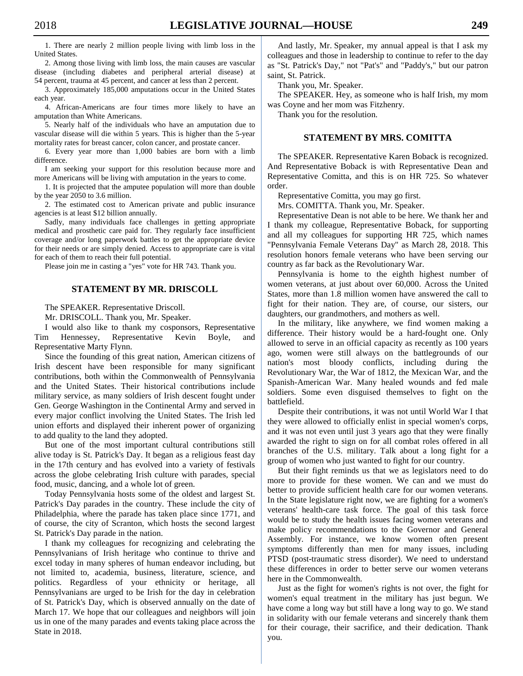1. There are nearly 2 million people living with limb loss in the United States.

 2. Among those living with limb loss, the main causes are vascular disease (including diabetes and peripheral arterial disease) at 54 percent, trauma at 45 percent, and cancer at less than 2 percent.

 3. Approximately 185,000 amputations occur in the United States each year.

 4. African-Americans are four times more likely to have an amputation than White Americans.

 5. Nearly half of the individuals who have an amputation due to vascular disease will die within 5 years. This is higher than the 5-year mortality rates for breast cancer, colon cancer, and prostate cancer.

 6. Every year more than 1,000 babies are born with a limb difference.

 I am seeking your support for this resolution because more and more Americans will be living with amputation in the years to come.

 1. It is projected that the amputee population will more than double by the year 2050 to 3.6 million.

 2. The estimated cost to American private and public insurance agencies is at least \$12 billion annually.

 Sadly, many individuals face challenges in getting appropriate medical and prosthetic care paid for. They regularly face insufficient coverage and/or long paperwork battles to get the appropriate device for their needs or are simply denied. Access to appropriate care is vital for each of them to reach their full potential.

Please join me in casting a "yes" vote for HR 743. Thank you.

# **STATEMENT BY MR. DRISCOLL**

The SPEAKER. Representative Driscoll.

Mr. DRISCOLL. Thank you, Mr. Speaker.

 I would also like to thank my cosponsors, Representative Tim Hennessey, Representative Kevin Boyle, and Representative Marty Flynn.

 Since the founding of this great nation, American citizens of Irish descent have been responsible for many significant contributions, both within the Commonwealth of Pennsylvania and the United States. Their historical contributions include military service, as many soldiers of Irish descent fought under Gen. George Washington in the Continental Army and served in every major conflict involving the United States. The Irish led union efforts and displayed their inherent power of organizing to add quality to the land they adopted.

 But one of the most important cultural contributions still alive today is St. Patrick's Day. It began as a religious feast day in the 17th century and has evolved into a variety of festivals across the globe celebrating Irish culture with parades, special food, music, dancing, and a whole lot of green.

 Today Pennsylvania hosts some of the oldest and largest St. Patrick's Day parades in the country. These include the city of Philadelphia, where the parade has taken place since 1771, and of course, the city of Scranton, which hosts the second largest St. Patrick's Day parade in the nation.

 I thank my colleagues for recognizing and celebrating the Pennsylvanians of Irish heritage who continue to thrive and excel today in many spheres of human endeavor including, but not limited to, academia, business, literature, science, and politics. Regardless of your ethnicity or heritage, all Pennsylvanians are urged to be Irish for the day in celebration of St. Patrick's Day, which is observed annually on the date of March 17. We hope that our colleagues and neighbors will join us in one of the many parades and events taking place across the State in 2018.

 And lastly, Mr. Speaker, my annual appeal is that I ask my colleagues and those in leadership to continue to refer to the day as "St. Patrick's Day," not "Pat's" and "Paddy's," but our patron saint, St. Patrick.

Thank you, Mr. Speaker.

 The SPEAKER. Hey, as someone who is half Irish, my mom was Coyne and her mom was Fitzhenry.

Thank you for the resolution.

# **STATEMENT BY MRS. COMITTA**

 The SPEAKER. Representative Karen Boback is recognized. And Representative Boback is with Representative Dean and Representative Comitta, and this is on HR 725. So whatever order.

Representative Comitta, you may go first.

Mrs. COMITTA. Thank you, Mr. Speaker.

 Representative Dean is not able to be here. We thank her and I thank my colleague, Representative Boback, for supporting and all my colleagues for supporting HR 725, which names "Pennsylvania Female Veterans Day" as March 28, 2018. This resolution honors female veterans who have been serving our country as far back as the Revolutionary War.

 Pennsylvania is home to the eighth highest number of women veterans, at just about over 60,000. Across the United States, more than 1.8 million women have answered the call to fight for their nation. They are, of course, our sisters, our daughters, our grandmothers, and mothers as well.

 In the military, like anywhere, we find women making a difference. Their history would be a hard-fought one. Only allowed to serve in an official capacity as recently as 100 years ago, women were still always on the battlegrounds of our nation's most bloody conflicts, including during the Revolutionary War, the War of 1812, the Mexican War, and the Spanish-American War. Many healed wounds and fed male soldiers. Some even disguised themselves to fight on the battlefield.

 Despite their contributions, it was not until World War I that they were allowed to officially enlist in special women's corps, and it was not even until just 3 years ago that they were finally awarded the right to sign on for all combat roles offered in all branches of the U.S. military. Talk about a long fight for a group of women who just wanted to fight for our country.

 But their fight reminds us that we as legislators need to do more to provide for these women. We can and we must do better to provide sufficient health care for our women veterans. In the State legislature right now, we are fighting for a women's veterans' health-care task force. The goal of this task force would be to study the health issues facing women veterans and make policy recommendations to the Governor and General Assembly. For instance, we know women often present symptoms differently than men for many issues, including PTSD (post-traumatic stress disorder). We need to understand these differences in order to better serve our women veterans here in the Commonwealth.

 Just as the fight for women's rights is not over, the fight for women's equal treatment in the military has just begun. We have come a long way but still have a long way to go. We stand in solidarity with our female veterans and sincerely thank them for their courage, their sacrifice, and their dedication. Thank you.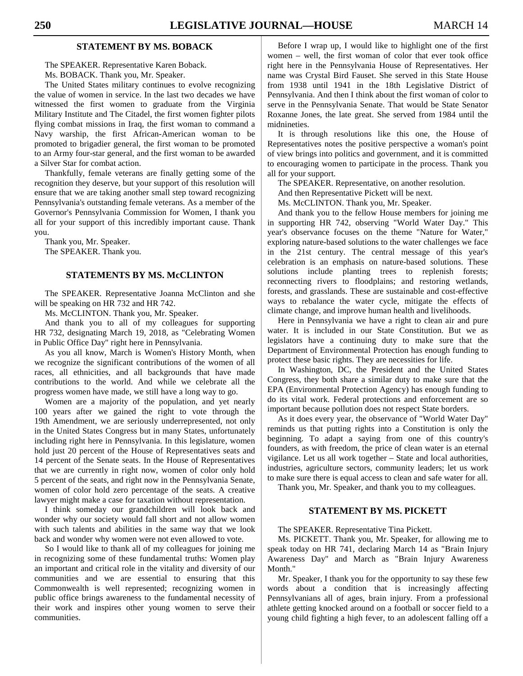# **STATEMENT BY MS. BOBACK**

The SPEAKER. Representative Karen Boback.

Ms. BOBACK. Thank you, Mr. Speaker.

 The United States military continues to evolve recognizing the value of women in service. In the last two decades we have witnessed the first women to graduate from the Virginia Military Institute and The Citadel, the first women fighter pilots flying combat missions in Iraq, the first woman to command a Navy warship, the first African-American woman to be promoted to brigadier general, the first woman to be promoted to an Army four-star general, and the first woman to be awarded a Silver Star for combat action.

 Thankfully, female veterans are finally getting some of the recognition they deserve, but your support of this resolution will ensure that we are taking another small step toward recognizing Pennsylvania's outstanding female veterans. As a member of the Governor's Pennsylvania Commission for Women, I thank you all for your support of this incredibly important cause. Thank you.

 Thank you, Mr. Speaker. The SPEAKER. Thank you.

# **STATEMENTS BY MS. McCLINTON**

 The SPEAKER. Representative Joanna McClinton and she will be speaking on HR 732 and HR 742.

Ms. McCLINTON. Thank you, Mr. Speaker.

 And thank you to all of my colleagues for supporting HR 732, designating March 19, 2018, as "Celebrating Women in Public Office Day" right here in Pennsylvania.

 As you all know, March is Women's History Month, when we recognize the significant contributions of the women of all races, all ethnicities, and all backgrounds that have made contributions to the world. And while we celebrate all the progress women have made, we still have a long way to go.

 Women are a majority of the population, and yet nearly 100 years after we gained the right to vote through the 19th Amendment, we are seriously underrepresented, not only in the United States Congress but in many States, unfortunately including right here in Pennsylvania. In this legislature, women hold just 20 percent of the House of Representatives seats and 14 percent of the Senate seats. In the House of Representatives that we are currently in right now, women of color only hold 5 percent of the seats, and right now in the Pennsylvania Senate, women of color hold zero percentage of the seats. A creative lawyer might make a case for taxation without representation.

 I think someday our grandchildren will look back and wonder why our society would fall short and not allow women with such talents and abilities in the same way that we look back and wonder why women were not even allowed to vote.

 So I would like to thank all of my colleagues for joining me in recognizing some of these fundamental truths: Women play an important and critical role in the vitality and diversity of our communities and we are essential to ensuring that this Commonwealth is well represented; recognizing women in public office brings awareness to the fundamental necessity of their work and inspires other young women to serve their communities.

 Before I wrap up, I would like to highlight one of the first women – well, the first woman of color that ever took office right here in the Pennsylvania House of Representatives. Her name was Crystal Bird Fauset. She served in this State House from 1938 until 1941 in the 18th Legislative District of Pennsylvania. And then I think about the first woman of color to serve in the Pennsylvania Senate. That would be State Senator Roxanne Jones, the late great. She served from 1984 until the midnineties.

 It is through resolutions like this one, the House of Representatives notes the positive perspective a woman's point of view brings into politics and government, and it is committed to encouraging women to participate in the process. Thank you all for your support.

The SPEAKER. Representative, on another resolution.

And then Representative Pickett will be next.

Ms. McCLINTON. Thank you, Mr. Speaker.

 And thank you to the fellow House members for joining me in supporting HR 742, observing "World Water Day." This year's observance focuses on the theme "Nature for Water," exploring nature-based solutions to the water challenges we face in the 21st century. The central message of this year's celebration is an emphasis on nature-based solutions. These solutions include planting trees to replenish forests; reconnecting rivers to floodplains; and restoring wetlands, forests, and grasslands. These are sustainable and cost-effective ways to rebalance the water cycle, mitigate the effects of climate change, and improve human health and livelihoods.

 Here in Pennsylvania we have a right to clean air and pure water. It is included in our State Constitution. But we as legislators have a continuing duty to make sure that the Department of Environmental Protection has enough funding to protect these basic rights. They are necessities for life.

 In Washington, DC, the President and the United States Congress, they both share a similar duty to make sure that the EPA (Environmental Protection Agency) has enough funding to do its vital work. Federal protections and enforcement are so important because pollution does not respect State borders.

 As it does every year, the observance of "World Water Day" reminds us that putting rights into a Constitution is only the beginning. To adapt a saying from one of this country's founders, as with freedom, the price of clean water is an eternal vigilance. Let us all work together – State and local authorities, industries, agriculture sectors, community leaders; let us work to make sure there is equal access to clean and safe water for all.

Thank you, Mr. Speaker, and thank you to my colleagues.

# **STATEMENT BY MS. PICKETT**

The SPEAKER. Representative Tina Pickett.

 Ms. PICKETT. Thank you, Mr. Speaker, for allowing me to speak today on HR 741, declaring March 14 as "Brain Injury Awareness Day" and March as "Brain Injury Awareness Month."

 Mr. Speaker, I thank you for the opportunity to say these few words about a condition that is increasingly affecting Pennsylvanians all of ages, brain injury. From a professional athlete getting knocked around on a football or soccer field to a young child fighting a high fever, to an adolescent falling off a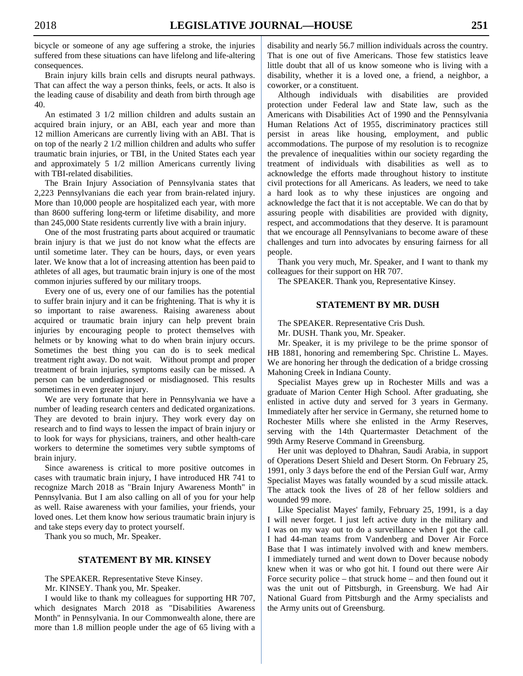bicycle or someone of any age suffering a stroke, the injuries suffered from these situations can have lifelong and life-altering consequences.

 Brain injury kills brain cells and disrupts neural pathways. That can affect the way a person thinks, feels, or acts. It also is the leading cause of disability and death from birth through age 40.

 An estimated 3 1/2 million children and adults sustain an acquired brain injury, or an ABI, each year and more than 12 million Americans are currently living with an ABI. That is on top of the nearly 2 1/2 million children and adults who suffer traumatic brain injuries, or TBI, in the United States each year and approximately 5 1/2 million Americans currently living with TBI-related disabilities.

 The Brain Injury Association of Pennsylvania states that 2,223 Pennsylvanians die each year from brain-related injury. More than 10,000 people are hospitalized each year, with more than 8600 suffering long-term or lifetime disability, and more than 245,000 State residents currently live with a brain injury.

 One of the most frustrating parts about acquired or traumatic brain injury is that we just do not know what the effects are until sometime later. They can be hours, days, or even years later. We know that a lot of increasing attention has been paid to athletes of all ages, but traumatic brain injury is one of the most common injuries suffered by our military troops.

 Every one of us, every one of our families has the potential to suffer brain injury and it can be frightening. That is why it is so important to raise awareness. Raising awareness about acquired or traumatic brain injury can help prevent brain injuries by encouraging people to protect themselves with helmets or by knowing what to do when brain injury occurs. Sometimes the best thing you can do is to seek medical treatment right away. Do not wait. Without prompt and proper treatment of brain injuries, symptoms easily can be missed. A person can be underdiagnosed or misdiagnosed. This results sometimes in even greater injury.

 We are very fortunate that here in Pennsylvania we have a number of leading research centers and dedicated organizations. They are devoted to brain injury. They work every day on research and to find ways to lessen the impact of brain injury or to look for ways for physicians, trainers, and other health-care workers to determine the sometimes very subtle symptoms of brain injury.

 Since awareness is critical to more positive outcomes in cases with traumatic brain injury, I have introduced HR 741 to recognize March 2018 as "Brain Injury Awareness Month" in Pennsylvania. But I am also calling on all of you for your help as well. Raise awareness with your families, your friends, your loved ones. Let them know how serious traumatic brain injury is and take steps every day to protect yourself.

Thank you so much, Mr. Speaker.

# **STATEMENT BY MR. KINSEY**

The SPEAKER. Representative Steve Kinsey.

Mr. KINSEY. Thank you, Mr. Speaker.

 I would like to thank my colleagues for supporting HR 707, which designates March 2018 as "Disabilities Awareness Month" in Pennsylvania. In our Commonwealth alone, there are more than 1.8 million people under the age of 65 living with a disability and nearly 56.7 million individuals across the country. That is one out of five Americans. Those few statistics leave little doubt that all of us know someone who is living with a disability, whether it is a loved one, a friend, a neighbor, a coworker, or a constituent.

 Although individuals with disabilities are provided protection under Federal law and State law, such as the Americans with Disabilities Act of 1990 and the Pennsylvania Human Relations Act of 1955, discriminatory practices still persist in areas like housing, employment, and public accommodations. The purpose of my resolution is to recognize the prevalence of inequalities within our society regarding the treatment of individuals with disabilities as well as to acknowledge the efforts made throughout history to institute civil protections for all Americans. As leaders, we need to take a hard look as to why these injustices are ongoing and acknowledge the fact that it is not acceptable. We can do that by assuring people with disabilities are provided with dignity, respect, and accommodations that they deserve. It is paramount that we encourage all Pennsylvanians to become aware of these challenges and turn into advocates by ensuring fairness for all people.

 Thank you very much, Mr. Speaker, and I want to thank my colleagues for their support on HR 707.

The SPEAKER. Thank you, Representative Kinsey.

# **STATEMENT BY MR. DUSH**

The SPEAKER. Representative Cris Dush.

Mr. DUSH. Thank you, Mr. Speaker.

 Mr. Speaker, it is my privilege to be the prime sponsor of HB 1881, honoring and remembering Spc. Christine L. Mayes. We are honoring her through the dedication of a bridge crossing Mahoning Creek in Indiana County.

 Specialist Mayes grew up in Rochester Mills and was a graduate of Marion Center High School. After graduating, she enlisted in active duty and served for 3 years in Germany. Immediately after her service in Germany, she returned home to Rochester Mills where she enlisted in the Army Reserves, serving with the 14th Quartermaster Detachment of the 99th Army Reserve Command in Greensburg.

 Her unit was deployed to Dhahran, Saudi Arabia, in support of Operations Desert Shield and Desert Storm. On February 25, 1991, only 3 days before the end of the Persian Gulf war, Army Specialist Mayes was fatally wounded by a scud missile attack. The attack took the lives of 28 of her fellow soldiers and wounded 99 more.

 Like Specialist Mayes' family, February 25, 1991, is a day I will never forget. I just left active duty in the military and I was on my way out to do a surveillance when I got the call. I had 44-man teams from Vandenberg and Dover Air Force Base that I was intimately involved with and knew members. I immediately turned and went down to Dover because nobody knew when it was or who got hit. I found out there were Air Force security police – that struck home – and then found out it was the unit out of Pittsburgh, in Greensburg. We had Air National Guard from Pittsburgh and the Army specialists and the Army units out of Greensburg.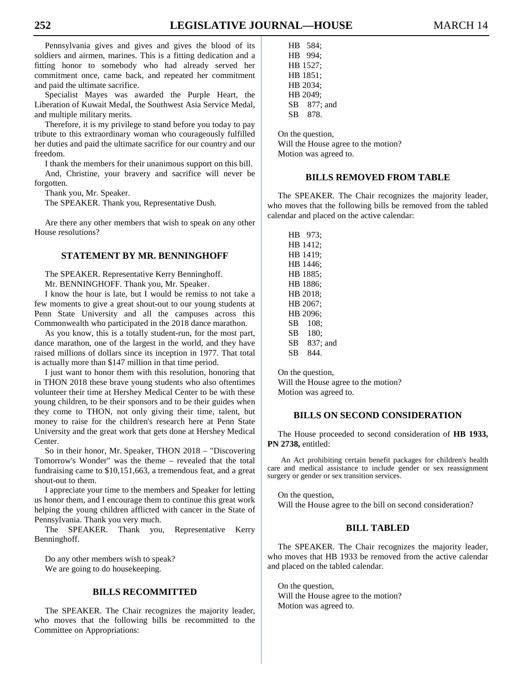Pennsylvania gives and gives and gives the blood of its soldiers and airmen, marines. This is a fitting dedication and a fitting honor to somebody who had already served her commitment once, came back, and repeated her commitment and paid the ultimate sacrifice.

 Specialist Mayes was awarded the Purple Heart, the Liberation of Kuwait Medal, the Southwest Asia Service Medal, and multiple military merits.

 Therefore, it is my privilege to stand before you today to pay tribute to this extraordinary woman who courageously fulfilled her duties and paid the ultimate sacrifice for our country and our freedom.

 I thank the members for their unanimous support on this bill. And, Christine, your bravery and sacrifice will never be forgotten.

Thank you, Mr. Speaker.

The SPEAKER. Thank you, Representative Dush.

 Are there any other members that wish to speak on any other House resolutions?

# **STATEMENT BY MR. BENNINGHOFF**

 The SPEAKER. Representative Kerry Benninghoff. Mr. BENNINGHOFF. Thank you, Mr. Speaker.

 I know the hour is late, but I would be remiss to not take a few moments to give a great shout-out to our young students at Penn State University and all the campuses across this Commonwealth who participated in the 2018 dance marathon.

 As you know, this is a totally student-run, for the most part, dance marathon, one of the largest in the world, and they have raised millions of dollars since its inception in 1977. That total is actually more than \$147 million in that time period.

 I just want to honor them with this resolution, honoring that in THON 2018 these brave young students who also oftentimes volunteer their time at Hershey Medical Center to be with these young children, to be their sponsors and to be their guides when they come to THON, not only giving their time, talent, but money to raise for the children's research here at Penn State University and the great work that gets done at Hershey Medical Center.

 So in their honor, Mr. Speaker, THON 2018 – "Discovering Tomorrow's Wonder" was the theme – revealed that the total fundraising came to \$10,151,663, a tremendous feat, and a great shout-out to them.

 I appreciate your time to the members and Speaker for letting us honor them, and I encourage them to continue this great work helping the young children afflicted with cancer in the State of Pennsylvania. Thank you very much.

 The SPEAKER. Thank you, Representative Kerry Benninghoff.

 Do any other members wish to speak? We are going to do housekeeping.

# **BILLS RECOMMITTED**

 The SPEAKER. The Chair recognizes the majority leader, who moves that the following bills be recommitted to the Committee on Appropriations:

 HB 584; HB 994; HB 1527; HB 1851; HB 2034; HB 2049; SB 877; and SB 878.

 On the question, Will the House agree to the motion? Motion was agreed to.

# **BILLS REMOVED FROM TABLE**

 The SPEAKER. The Chair recognizes the majority leader, who moves that the following bills be removed from the tabled calendar and placed on the active calendar:

 HB 973; HB 1412; HB 1419; HB 1446; HB 1885; HB 1886; HB 2018; HB 2067; HB 2096; SB 108; SB 180; SB 837; and SB 844.

 On the question, Will the House agree to the motion? Motion was agreed to.

# **BILLS ON SECOND CONSIDERATION**

 The House proceeded to second consideration of **HB 1933, PN 2738,** entitled:

An Act prohibiting certain benefit packages for children's health care and medical assistance to include gender or sex reassignment surgery or gender or sex transition services.

 On the question, Will the House agree to the bill on second consideration?

# **BILL TABLED**

 The SPEAKER. The Chair recognizes the majority leader, who moves that HB 1933 be removed from the active calendar and placed on the tabled calendar.

 On the question, Will the House agree to the motion? Motion was agreed to.